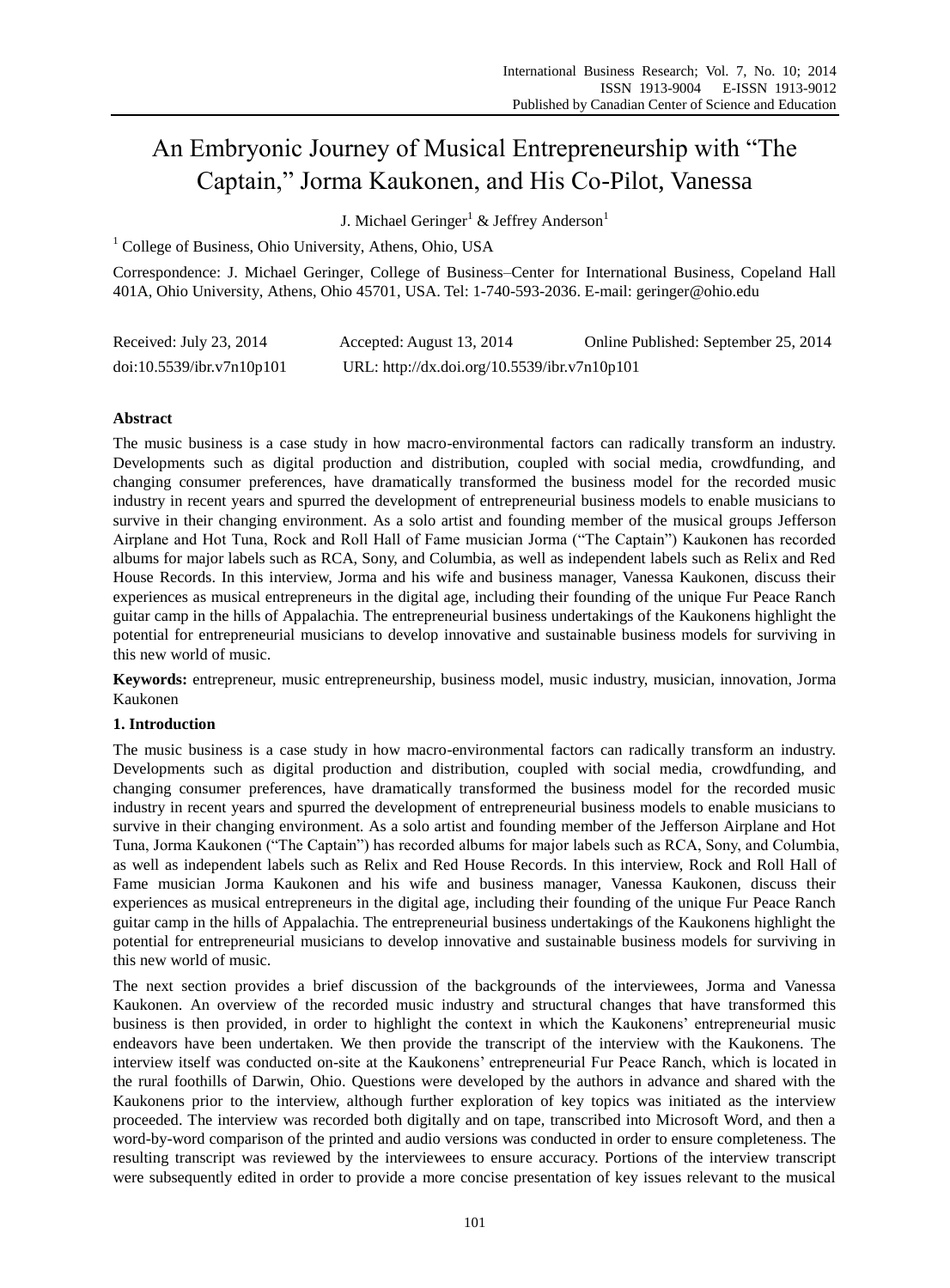# An Embryonic Journey of Musical Entrepreneurship with "The Captain," Jorma Kaukonen, and His Co-Pilot, Vanessa

J. Michael Geringer<sup>1</sup> & Jeffrey Anderson<sup>1</sup>

<sup>1</sup> College of Business, Ohio University, Athens, Ohio, USA

Correspondence: J. Michael Geringer, College of Business–Center for International Business, Copeland Hall 401A, Ohio University, Athens, Ohio 45701, USA. Tel: 1-740-593-2036. E-mail: geringer@ohio.edu

| Received: July 23, 2014   | Accepted: August 13, 2014                    | Online Published: September 25, 2014 |
|---------------------------|----------------------------------------------|--------------------------------------|
| doi:10.5539/ibr.v7n10p101 | URL: http://dx.doi.org/10.5539/ibr.v7n10p101 |                                      |

# **Abstract**

The music business is a case study in how macro-environmental factors can radically transform an industry. Developments such as digital production and distribution, coupled with social media, crowdfunding, and changing consumer preferences, have dramatically transformed the business model for the recorded music industry in recent years and spurred the development of entrepreneurial business models to enable musicians to survive in their changing environment. As a solo artist and founding member of the musical groups Jefferson Airplane and Hot Tuna, Rock and Roll Hall of Fame musician Jorma ("The Captain") Kaukonen has recorded albums for major labels such as RCA, Sony, and Columbia, as well as independent labels such as Relix and Red House Records. In this interview, Jorma and his wife and business manager, Vanessa Kaukonen, discuss their experiences as musical entrepreneurs in the digital age, including their founding of the unique Fur Peace Ranch guitar camp in the hills of Appalachia. The entrepreneurial business undertakings of the Kaukonens highlight the potential for entrepreneurial musicians to develop innovative and sustainable business models for surviving in this new world of music.

**Keywords:** entrepreneur, music entrepreneurship, business model, music industry, musician, innovation, Jorma Kaukonen

### **1. Introduction**

The music business is a case study in how macro-environmental factors can radically transform an industry. Developments such as digital production and distribution, coupled with social media, crowdfunding, and changing consumer preferences, have dramatically transformed the business model for the recorded music industry in recent years and spurred the development of entrepreneurial business models to enable musicians to survive in their changing environment. As a solo artist and founding member of the Jefferson Airplane and Hot Tuna, Jorma Kaukonen ("The Captain") has recorded albums for major labels such as RCA, Sony, and Columbia, as well as independent labels such as Relix and Red House Records. In this interview, Rock and Roll Hall of Fame musician Jorma Kaukonen and his wife and business manager, Vanessa Kaukonen, discuss their experiences as musical entrepreneurs in the digital age, including their founding of the unique Fur Peace Ranch guitar camp in the hills of Appalachia. The entrepreneurial business undertakings of the Kaukonens highlight the potential for entrepreneurial musicians to develop innovative and sustainable business models for surviving in this new world of music.

The next section provides a brief discussion of the backgrounds of the interviewees, Jorma and Vanessa Kaukonen. An overview of the recorded music industry and structural changes that have transformed this business is then provided, in order to highlight the context in which the Kaukonens" entrepreneurial music endeavors have been undertaken. We then provide the transcript of the interview with the Kaukonens. The interview itself was conducted on-site at the Kaukonens" entrepreneurial Fur Peace Ranch, which is located in the rural foothills of Darwin, Ohio. Questions were developed by the authors in advance and shared with the Kaukonens prior to the interview, although further exploration of key topics was initiated as the interview proceeded. The interview was recorded both digitally and on tape, transcribed into Microsoft Word, and then a word-by-word comparison of the printed and audio versions was conducted in order to ensure completeness. The resulting transcript was reviewed by the interviewees to ensure accuracy. Portions of the interview transcript were subsequently edited in order to provide a more concise presentation of key issues relevant to the musical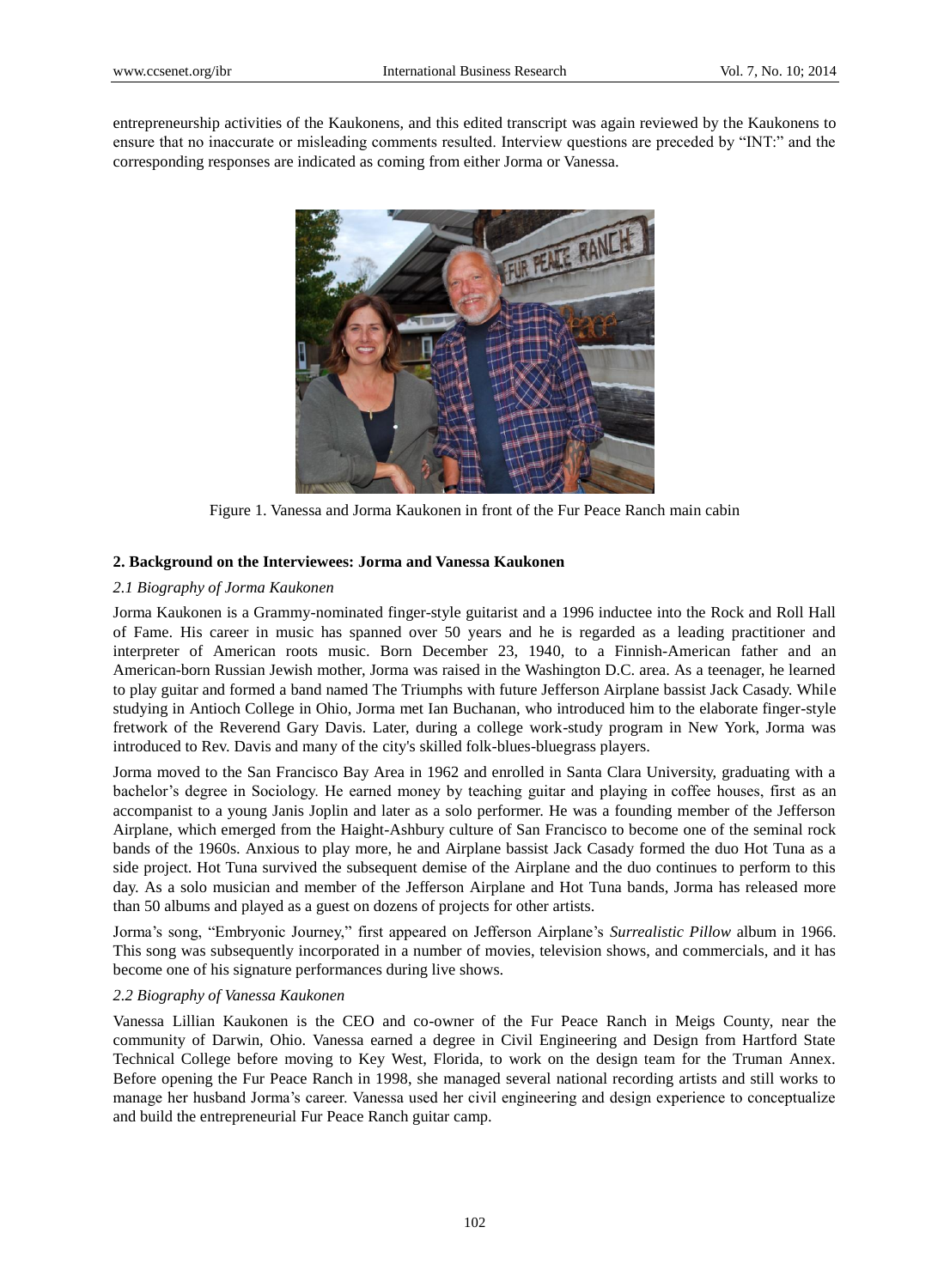entrepreneurship activities of the Kaukonens, and this edited transcript was again reviewed by the Kaukonens to ensure that no inaccurate or misleading comments resulted. Interview questions are preceded by "INT:" and the corresponding responses are indicated as coming from either Jorma or Vanessa.



Figure 1. Vanessa and Jorma Kaukonen in front of the Fur Peace Ranch main cabin

### **2. Background on the Interviewees: Jorma and Vanessa Kaukonen**

#### *2.1 Biography of Jorma Kaukonen*

Jorma Kaukonen is a Grammy-nominated finger-style guitarist and a 1996 inductee into the Rock and Roll Hall of Fame. His career in music has spanned over 50 years and he is regarded as a leading practitioner and interpreter of American roots music. Born December 23, 1940, to a Finnish-American father and an American-born Russian Jewish mother, Jorma was raised in the Washington D.C. area. As a teenager, he learned to play guitar and formed a band named The Triumphs with future Jefferson Airplane bassist Jack Casady. While studying in Antioch College in Ohio, Jorma met Ian Buchanan, who introduced him to the elaborate finger-style fretwork of the Reverend Gary Davis. Later, during a college work-study program in New York, Jorma was introduced to Rev. Davis and many of the city's skilled folk-blues-bluegrass players.

Jorma moved to the San Francisco Bay Area in 1962 and enrolled in Santa Clara University, graduating with a bachelor"s degree in Sociology. He earned money by teaching guitar and playing in coffee houses, first as an accompanist to a young Janis Joplin and later as a solo performer. He was a founding member of the Jefferson Airplane, which emerged from the Haight-Ashbury culture of San Francisco to become one of the seminal rock bands of the 1960s. Anxious to play more, he and Airplane bassist Jack Casady formed the duo Hot Tuna as a side project. Hot Tuna survived the subsequent demise of the Airplane and the duo continues to perform to this day. As a solo musician and member of the Jefferson Airplane and Hot Tuna bands, Jorma has released more than 50 albums and played as a guest on dozens of projects for other artists.

Jorma"s song, "Embryonic Journey," first appeared on Jefferson Airplane"s *Surrealistic Pillow* album in 1966. This song was subsequently incorporated in a number of movies, television shows, and commercials, and it has become one of his signature performances during live shows.

### *2.2 Biography of Vanessa Kaukonen*

Vanessa Lillian Kaukonen is the CEO and co-owner of the Fur Peace Ranch in Meigs County, near the community of Darwin, Ohio. Vanessa earned a degree in Civil Engineering and Design from Hartford State Technical College before moving to Key West, Florida, to work on the design team for the Truman Annex. Before opening the Fur Peace Ranch in 1998, she managed several national recording artists and still works to manage her husband Jorma"s career. Vanessa used her civil engineering and design experience to conceptualize and build the entrepreneurial Fur Peace Ranch guitar camp.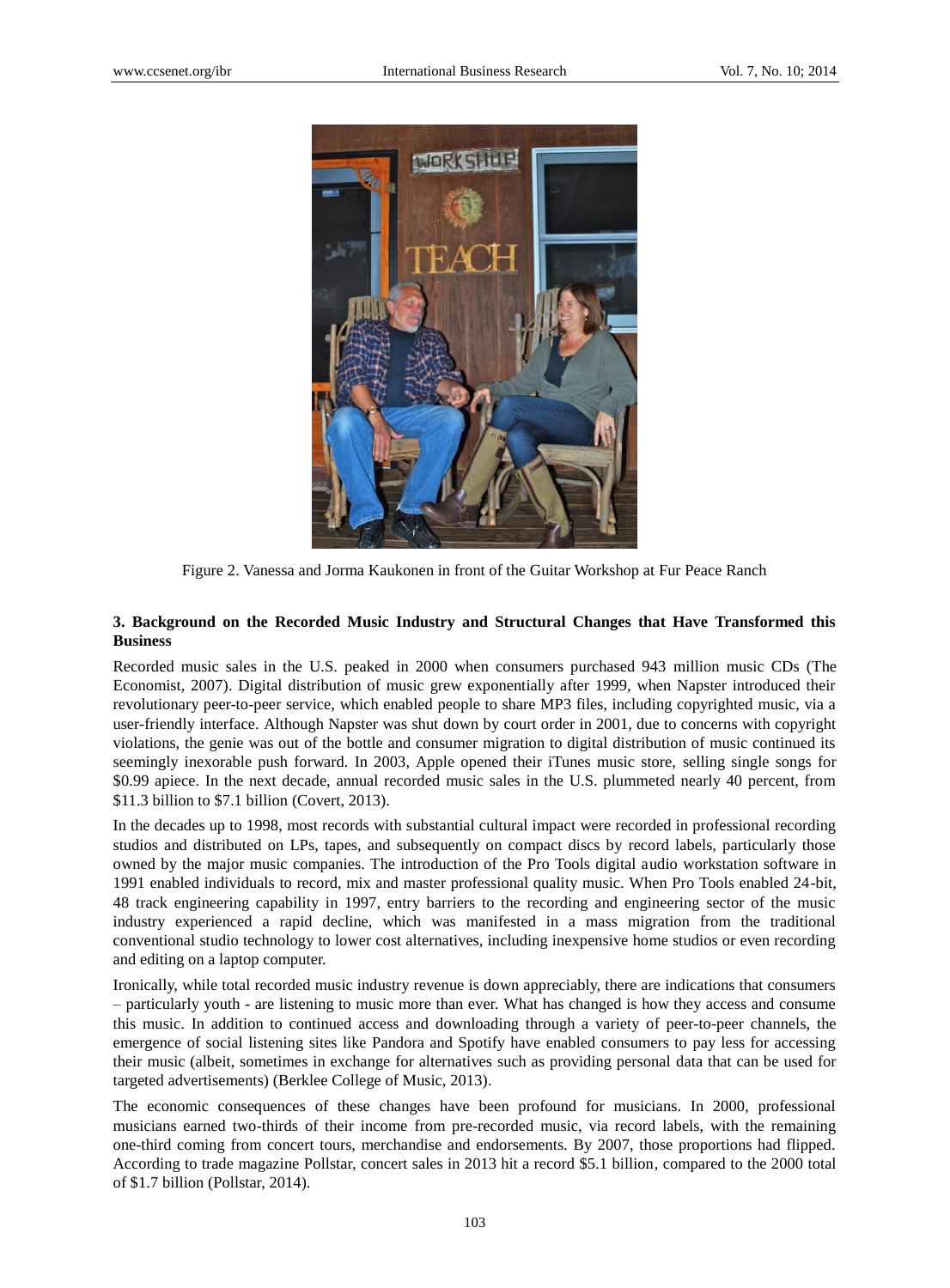

Figure 2. Vanessa and Jorma Kaukonen in front of the Guitar Workshop at Fur Peace Ranch

# **3. Background on the Recorded Music Industry and Structural Changes that Have Transformed this Business**

Recorded music sales in the U.S. peaked in 2000 when consumers purchased 943 million music CDs (The Economist, 2007). Digital distribution of music grew exponentially after 1999, when Napster introduced their revolutionary peer-to-peer service, which enabled people to share MP3 files, including copyrighted music, via a user-friendly interface. Although Napster was shut down by court order in 2001, due to concerns with copyright violations, the genie was out of the bottle and consumer migration to digital distribution of music continued its seemingly inexorable push forward. In 2003, Apple opened their iTunes music store, selling single songs for \$0.99 apiece. In the next decade, annual recorded music sales in the U.S. plummeted nearly 40 percent, from \$11.3 billion to \$7.1 billion (Covert, 2013).

In the decades up to 1998, most records with substantial cultural impact were recorded in professional recording studios and distributed on LPs, tapes, and subsequently on compact discs by record labels, particularly those owned by the major music companies. The introduction of the Pro Tools digital audio workstation software in 1991 enabled individuals to record, mix and master professional quality music. When Pro Tools enabled 24-bit, 48 track engineering capability in 1997, entry barriers to the recording and engineering sector of the music industry experienced a rapid decline, which was manifested in a mass migration from the traditional conventional studio technology to lower cost alternatives, including inexpensive home studios or even recording and editing on a laptop computer.

Ironically, while total recorded music industry revenue is down appreciably, there are indications that consumers – particularly youth - are listening to music more than ever. What has changed is how they access and consume this music. In addition to continued access and downloading through a variety of peer-to-peer channels, the emergence of social listening sites like Pandora and Spotify have enabled consumers to pay less for accessing their music (albeit, sometimes in exchange for alternatives such as providing personal data that can be used for targeted advertisements) (Berklee College of Music, 2013).

The economic consequences of these changes have been profound for musicians. In 2000, professional musicians earned two-thirds of their income from pre-recorded music, via record labels, with the remaining one-third coming from concert tours, merchandise and endorsements. By 2007, those proportions had flipped. According to trade magazine Pollstar, concert sales in 2013 hit a record \$5.1 billion, compared to the 2000 total of \$1.7 billion (Pollstar, 2014).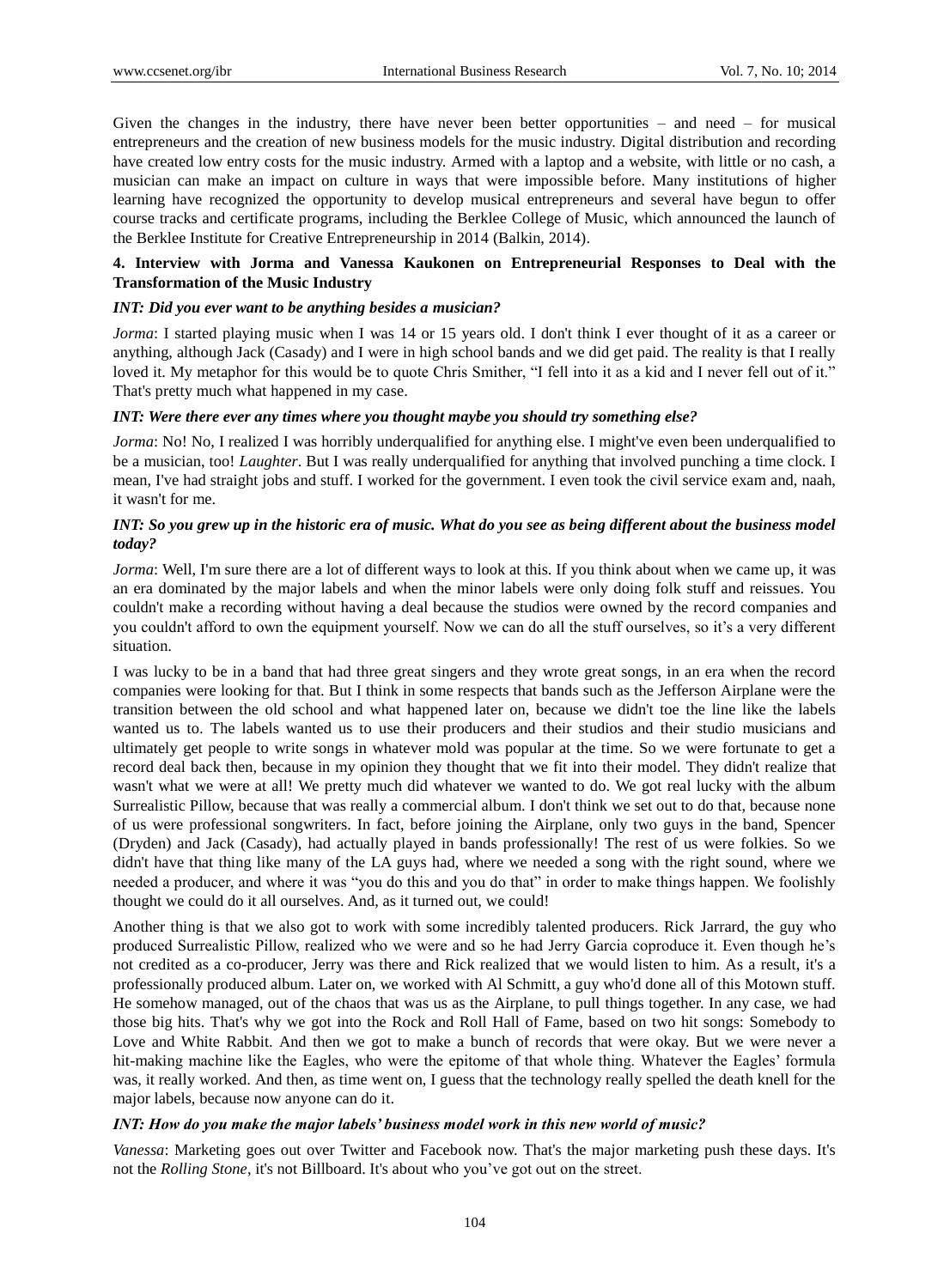Given the changes in the industry, there have never been better opportunities – and need – for musical entrepreneurs and the creation of new business models for the music industry. Digital distribution and recording have created low entry costs for the music industry. Armed with a laptop and a website, with little or no cash, a musician can make an impact on culture in ways that were impossible before. Many institutions of higher learning have recognized the opportunity to develop musical entrepreneurs and several have begun to offer course tracks and certificate programs, including the Berklee College of Music, which announced the launch of the Berklee Institute for Creative Entrepreneurship in 2014 (Balkin, 2014).

## **4. Interview with Jorma and Vanessa Kaukonen on Entrepreneurial Responses to Deal with the Transformation of the Music Industry**

### *INT: Did you ever want to be anything besides a musician?*

*Jorma*: I started playing music when I was 14 or 15 years old. I don't think I ever thought of it as a career or anything, although Jack (Casady) and I were in high school bands and we did get paid. The reality is that I really loved it. My metaphor for this would be to quote Chris Smither, "I fell into it as a kid and I never fell out of it." That's pretty much what happened in my case.

### *INT: Were there ever any times where you thought maybe you should try something else?*

*Jorma*: No! No, I realized I was horribly underqualified for anything else. I might've even been underqualified to be a musician, too! *Laughter*. But I was really underqualified for anything that involved punching a time clock. I mean, I've had straight jobs and stuff. I worked for the government. I even took the civil service exam and, naah, it wasn't for me.

# *INT: So you grew up in the historic era of music. What do you see as being different about the business model today?*

*Jorma*: Well, I'm sure there are a lot of different ways to look at this. If you think about when we came up, it was an era dominated by the major labels and when the minor labels were only doing folk stuff and reissues. You couldn't make a recording without having a deal because the studios were owned by the record companies and you couldn't afford to own the equipment yourself. Now we can do all the stuff ourselves, so it"s a very different situation.

I was lucky to be in a band that had three great singers and they wrote great songs, in an era when the record companies were looking for that. But I think in some respects that bands such as the Jefferson Airplane were the transition between the old school and what happened later on, because we didn't toe the line like the labels wanted us to. The labels wanted us to use their producers and their studios and their studio musicians and ultimately get people to write songs in whatever mold was popular at the time. So we were fortunate to get a record deal back then, because in my opinion they thought that we fit into their model. They didn't realize that wasn't what we were at all! We pretty much did whatever we wanted to do. We got real lucky with the album Surrealistic Pillow, because that was really a commercial album. I don't think we set out to do that, because none of us were professional songwriters. In fact, before joining the Airplane, only two guys in the band, Spencer (Dryden) and Jack (Casady), had actually played in bands professionally! The rest of us were folkies. So we didn't have that thing like many of the LA guys had, where we needed a song with the right sound, where we needed a producer, and where it was "you do this and you do that" in order to make things happen. We foolishly thought we could do it all ourselves. And, as it turned out, we could!

Another thing is that we also got to work with some incredibly talented producers. Rick Jarrard, the guy who produced Surrealistic Pillow, realized who we were and so he had Jerry Garcia coproduce it. Even though he"s not credited as a co-producer, Jerry was there and Rick realized that we would listen to him. As a result, it's a professionally produced album. Later on, we worked with Al Schmitt, a guy who'd done all of this Motown stuff. He somehow managed, out of the chaos that was us as the Airplane, to pull things together. In any case, we had those big hits. That's why we got into the Rock and Roll Hall of Fame, based on two hit songs: Somebody to Love and White Rabbit. And then we got to make a bunch of records that were okay. But we were never a hit-making machine like the Eagles, who were the epitome of that whole thing. Whatever the Eagles' formula was, it really worked. And then, as time went on, I guess that the technology really spelled the death knell for the major labels, because now anyone can do it.

#### *INT: How do you make the major labels' business model work in this new world of music?*

*Vanessa*: Marketing goes out over Twitter and Facebook now. That's the major marketing push these days. It's not the *Rolling Stone*, it's not Billboard. It's about who you"ve got out on the street.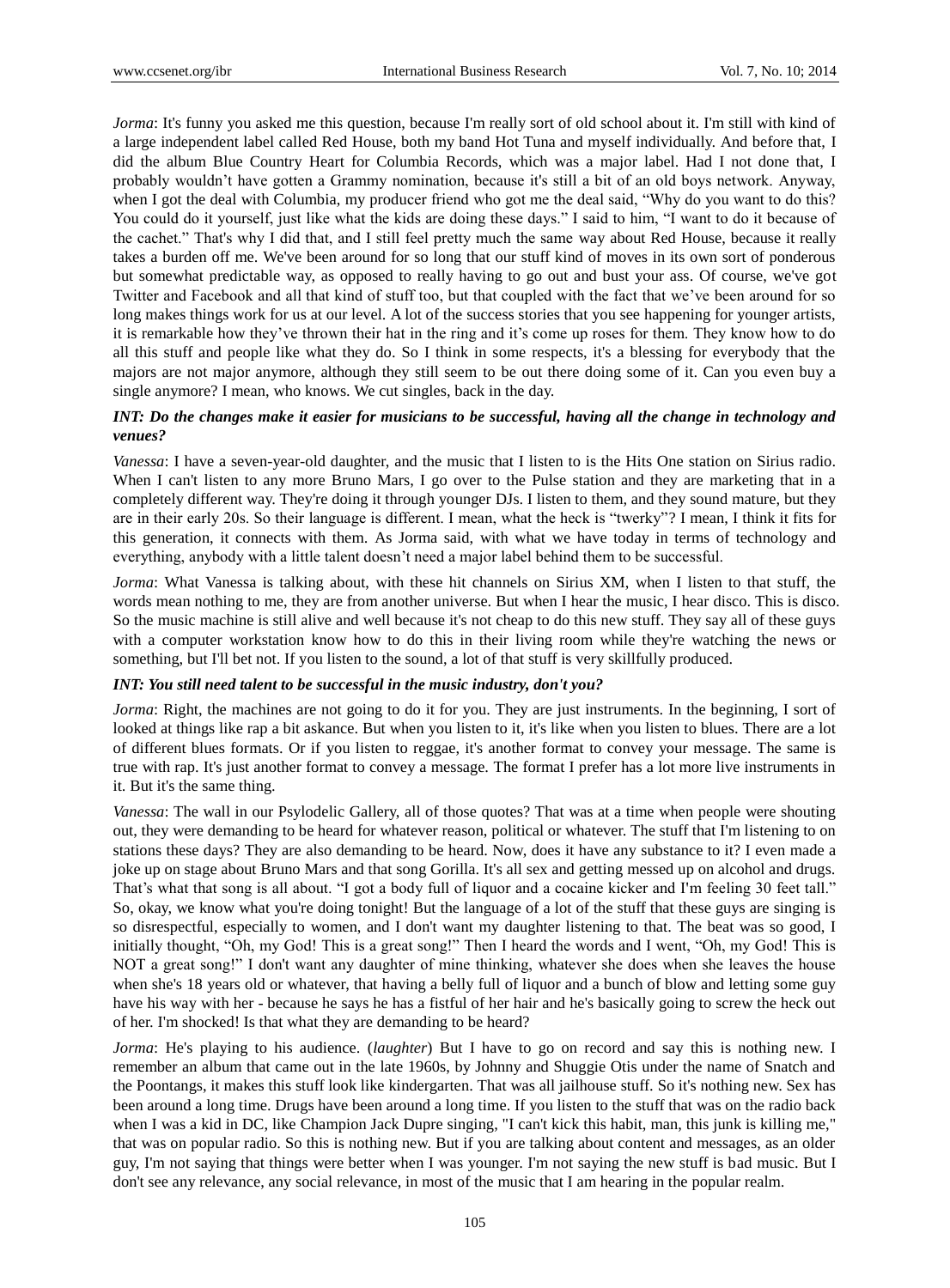*Jorma*: It's funny you asked me this question, because I'm really sort of old school about it. I'm still with kind of a large independent label called Red House, both my band Hot Tuna and myself individually. And before that, I did the album Blue Country Heart for Columbia Records, which was a major label. Had I not done that, I probably wouldn"t have gotten a Grammy nomination, because it's still a bit of an old boys network. Anyway, when I got the deal with Columbia, my producer friend who got me the deal said, "Why do you want to do this? You could do it yourself, just like what the kids are doing these days." I said to him, "I want to do it because of the cachet." That's why I did that, and I still feel pretty much the same way about Red House, because it really takes a burden off me. We've been around for so long that our stuff kind of moves in its own sort of ponderous but somewhat predictable way, as opposed to really having to go out and bust your ass. Of course, we've got Twitter and Facebook and all that kind of stuff too, but that coupled with the fact that we"ve been around for so long makes things work for us at our level. A lot of the success stories that you see happening for younger artists, it is remarkable how they've thrown their hat in the ring and it's come up roses for them. They know how to do all this stuff and people like what they do. So I think in some respects, it's a blessing for everybody that the majors are not major anymore, although they still seem to be out there doing some of it. Can you even buy a single anymore? I mean, who knows. We cut singles, back in the day.

# *INT: Do the changes make it easier for musicians to be successful, having all the change in technology and venues?*

*Vanessa*: I have a seven-year-old daughter, and the music that I listen to is the Hits One station on Sirius radio. When I can't listen to any more Bruno Mars, I go over to the Pulse station and they are marketing that in a completely different way. They're doing it through younger DJs. I listen to them, and they sound mature, but they are in their early 20s. So their language is different. I mean, what the heck is "twerky"? I mean, I think it fits for this generation, it connects with them. As Jorma said, with what we have today in terms of technology and everything, anybody with a little talent doesn"t need a major label behind them to be successful.

*Jorma*: What Vanessa is talking about, with these hit channels on Sirius XM, when I listen to that stuff, the words mean nothing to me, they are from another universe. But when I hear the music, I hear disco. This is disco. So the music machine is still alive and well because it's not cheap to do this new stuff. They say all of these guys with a computer workstation know how to do this in their living room while they're watching the news or something, but I'll bet not. If you listen to the sound, a lot of that stuff is very skillfully produced.

### *INT: You still need talent to be successful in the music industry, don't you?*

*Jorma*: Right, the machines are not going to do it for you. They are just instruments. In the beginning, I sort of looked at things like rap a bit askance. But when you listen to it, it's like when you listen to blues. There are a lot of different blues formats. Or if you listen to reggae, it's another format to convey your message. The same is true with rap. It's just another format to convey a message. The format I prefer has a lot more live instruments in it. But it's the same thing.

*Vanessa*: The wall in our Psylodelic Gallery, all of those quotes? That was at a time when people were shouting out, they were demanding to be heard for whatever reason, political or whatever. The stuff that I'm listening to on stations these days? They are also demanding to be heard. Now, does it have any substance to it? I even made a joke up on stage about Bruno Mars and that song Gorilla. It's all sex and getting messed up on alcohol and drugs. That's what that song is all about. "I got a body full of liquor and a cocaine kicker and I'm feeling 30 feet tall." So, okay, we know what you're doing tonight! But the language of a lot of the stuff that these guys are singing is so disrespectful, especially to women, and I don't want my daughter listening to that. The beat was so good, I initially thought, "Oh, my God! This is a great song!" Then I heard the words and I went, "Oh, my God! This is NOT a great song!" I don't want any daughter of mine thinking, whatever she does when she leaves the house when she's 18 years old or whatever, that having a belly full of liquor and a bunch of blow and letting some guy have his way with her - because he says he has a fistful of her hair and he's basically going to screw the heck out of her. I'm shocked! Is that what they are demanding to be heard?

*Jorma*: He's playing to his audience. (*laughter*) But I have to go on record and say this is nothing new. I remember an album that came out in the late 1960s, by Johnny and Shuggie Otis under the name of Snatch and the Poontangs, it makes this stuff look like kindergarten. That was all jailhouse stuff. So it's nothing new. Sex has been around a long time. Drugs have been around a long time. If you listen to the stuff that was on the radio back when I was a kid in DC, like Champion Jack Dupre singing, "I can't kick this habit, man, this junk is killing me," that was on popular radio. So this is nothing new. But if you are talking about content and messages, as an older guy, I'm not saying that things were better when I was younger. I'm not saying the new stuff is bad music. But I don't see any relevance, any social relevance, in most of the music that I am hearing in the popular realm.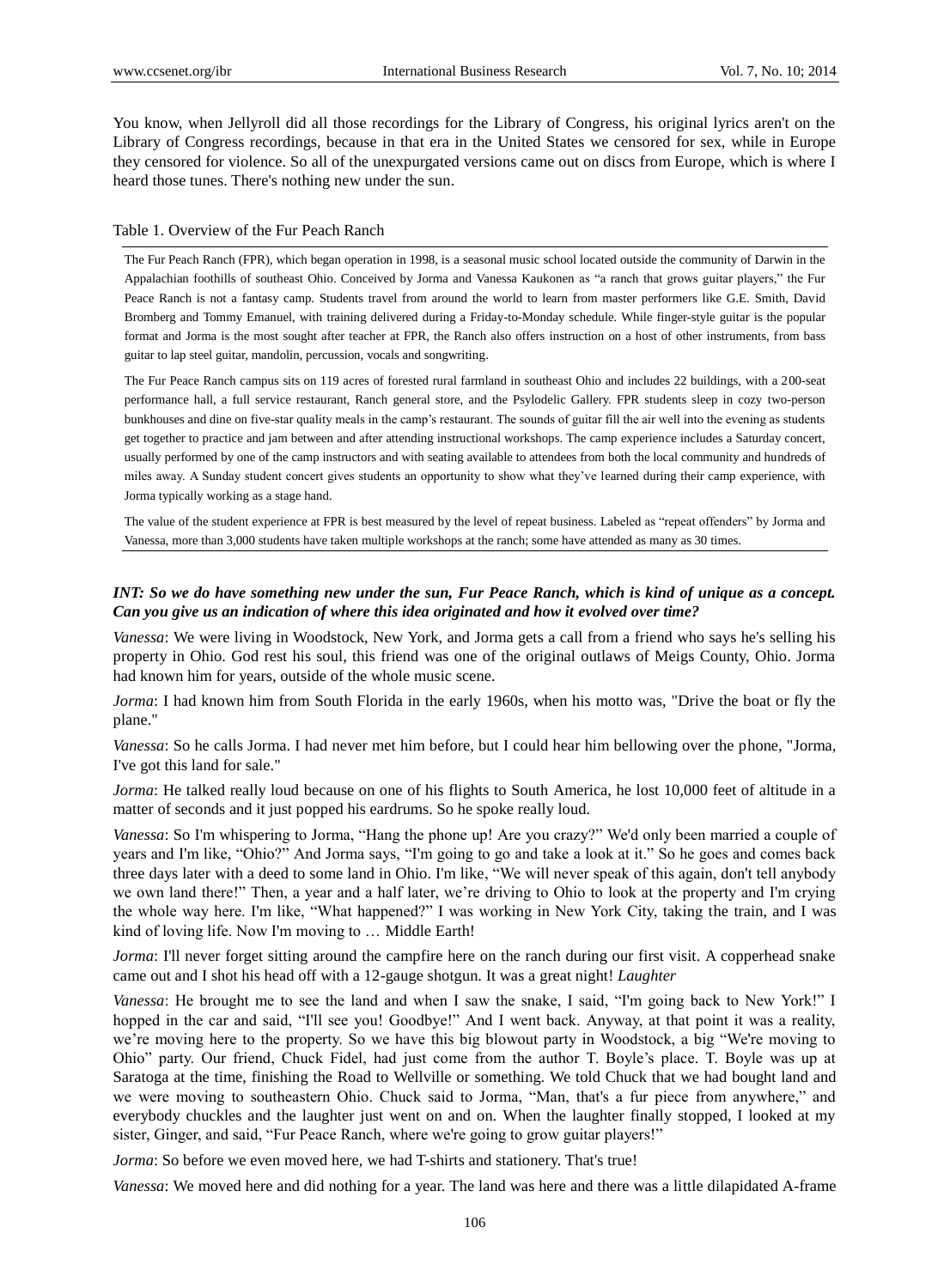You know, when Jellyroll did all those recordings for the Library of Congress, his original lyrics aren't on the Library of Congress recordings, because in that era in the United States we censored for sex, while in Europe they censored for violence. So all of the unexpurgated versions came out on discs from Europe, which is where I heard those tunes. There's nothing new under the sun.

#### Table 1. Overview of the Fur Peach Ranch

The Fur Peach Ranch (FPR), which began operation in 1998, is a seasonal music school located outside the community of Darwin in the Appalachian foothills of southeast Ohio. Conceived by Jorma and Vanessa Kaukonen as "a ranch that grows guitar players," the Fur Peace Ranch is not a fantasy camp. Students travel from around the world to learn from master performers like G.E. Smith, David Bromberg and Tommy Emanuel, with training delivered during a Friday-to-Monday schedule. While finger-style guitar is the popular format and Jorma is the most sought after teacher at FPR, the Ranch also offers instruction on a host of other instruments, from bass guitar to lap steel guitar, mandolin, percussion, vocals and songwriting.

The Fur Peace Ranch campus sits on 119 acres of forested rural farmland in southeast Ohio and includes 22 buildings, with a 200-seat performance hall, a full service restaurant, Ranch general store, and the Psylodelic Gallery. FPR students sleep in cozy two-person bunkhouses and dine on five-star quality meals in the camp"s restaurant. The sounds of guitar fill the air well into the evening as students get together to practice and jam between and after attending instructional workshops. The camp experience includes a Saturday concert, usually performed by one of the camp instructors and with seating available to attendees from both the local community and hundreds of miles away. A Sunday student concert gives students an opportunity to show what they"ve learned during their camp experience, with Jorma typically working as a stage hand.

The value of the student experience at FPR is best measured by the level of repeat business. Labeled as "repeat offenders" by Jorma and Vanessa, more than 3,000 students have taken multiple workshops at the ranch; some have attended as many as 30 times.

## *INT: So we do have something new under the sun, Fur Peace Ranch, which is kind of unique as a concept. Can you give us an indication of where this idea originated and how it evolved over time?*

*Vanessa*: We were living in Woodstock, New York, and Jorma gets a call from a friend who says he's selling his property in Ohio. God rest his soul, this friend was one of the original outlaws of Meigs County, Ohio. Jorma had known him for years, outside of the whole music scene.

*Jorma*: I had known him from South Florida in the early 1960s, when his motto was, "Drive the boat or fly the plane."

*Vanessa*: So he calls Jorma. I had never met him before, but I could hear him bellowing over the phone, "Jorma, I've got this land for sale."

*Jorma*: He talked really loud because on one of his flights to South America, he lost 10,000 feet of altitude in a matter of seconds and it just popped his eardrums. So he spoke really loud.

*Vanessa*: So I'm whispering to Jorma, "Hang the phone up! Are you crazy?" We'd only been married a couple of years and I'm like, "Ohio?" And Jorma says, "I'm going to go and take a look at it." So he goes and comes back three days later with a deed to some land in Ohio. I'm like, "We will never speak of this again, don't tell anybody we own land there!" Then, a year and a half later, we"re driving to Ohio to look at the property and I'm crying the whole way here. I'm like, "What happened?" I was working in New York City, taking the train, and I was kind of loving life. Now I'm moving to … Middle Earth!

*Jorma*: I'll never forget sitting around the campfire here on the ranch during our first visit. A copperhead snake came out and I shot his head off with a 12-gauge shotgun. It was a great night! *Laughter*

*Vanessa*: He brought me to see the land and when I saw the snake, I said, "I'm going back to New York!" I hopped in the car and said, "I'll see you! Goodbye!" And I went back. Anyway, at that point it was a reality, we"re moving here to the property. So we have this big blowout party in Woodstock, a big "We're moving to Ohio" party. Our friend, Chuck Fidel, had just come from the author T. Boyle"s place. T. Boyle was up at Saratoga at the time, finishing the Road to Wellville or something. We told Chuck that we had bought land and we were moving to southeastern Ohio. Chuck said to Jorma, "Man, that's a fur piece from anywhere," and everybody chuckles and the laughter just went on and on. When the laughter finally stopped, I looked at my sister, Ginger, and said, "Fur Peace Ranch, where we're going to grow guitar players!"

*Jorma*: So before we even moved here, we had T-shirts and stationery. That's true!

*Vanessa*: We moved here and did nothing for a year. The land was here and there was a little dilapidated A-frame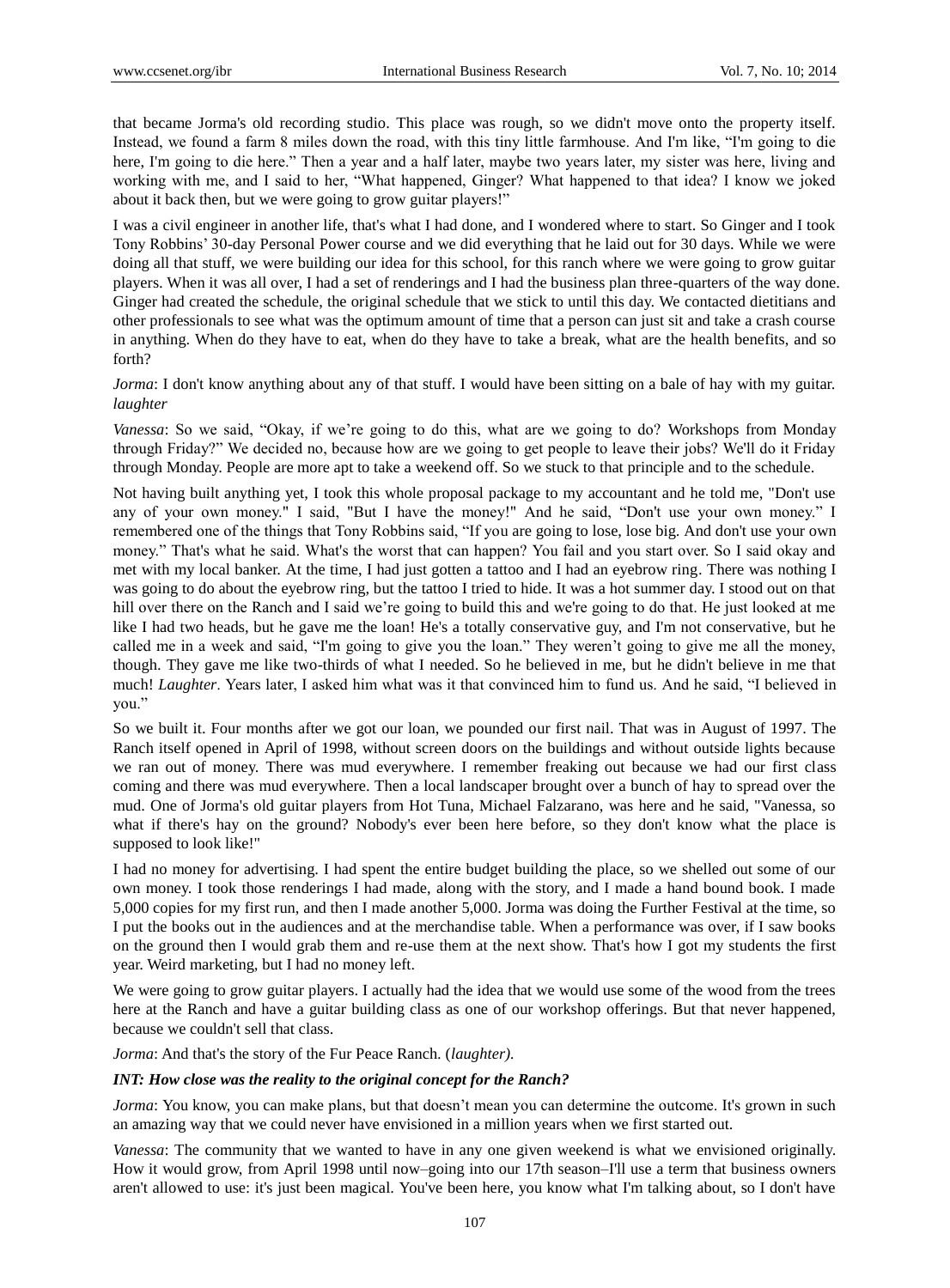that became Jorma's old recording studio. This place was rough, so we didn't move onto the property itself. Instead, we found a farm 8 miles down the road, with this tiny little farmhouse. And I'm like, "I'm going to die here, I'm going to die here." Then a year and a half later, maybe two years later, my sister was here, living and working with me, and I said to her, "What happened, Ginger? What happened to that idea? I know we joked about it back then, but we were going to grow guitar players!"

I was a civil engineer in another life, that's what I had done, and I wondered where to start. So Ginger and I took Tony Robbins" 30-day Personal Power course and we did everything that he laid out for 30 days. While we were doing all that stuff, we were building our idea for this school, for this ranch where we were going to grow guitar players. When it was all over, I had a set of renderings and I had the business plan three-quarters of the way done. Ginger had created the schedule, the original schedule that we stick to until this day. We contacted dietitians and other professionals to see what was the optimum amount of time that a person can just sit and take a crash course in anything. When do they have to eat, when do they have to take a break, what are the health benefits, and so forth?

*Jorma*: I don't know anything about any of that stuff. I would have been sitting on a bale of hay with my guitar. *laughter*

*Vanessa*: So we said, "Okay, if we"re going to do this, what are we going to do? Workshops from Monday through Friday?" We decided no, because how are we going to get people to leave their jobs? We'll do it Friday through Monday. People are more apt to take a weekend off. So we stuck to that principle and to the schedule.

Not having built anything yet, I took this whole proposal package to my accountant and he told me, "Don't use any of your own money." I said, "But I have the money!" And he said, "Don't use your own money." I remembered one of the things that Tony Robbins said, "If you are going to lose, lose big. And don't use your own money." That's what he said. What's the worst that can happen? You fail and you start over. So I said okay and met with my local banker. At the time, I had just gotten a tattoo and I had an eyebrow ring. There was nothing I was going to do about the eyebrow ring, but the tattoo I tried to hide. It was a hot summer day. I stood out on that hill over there on the Ranch and I said we're going to build this and we're going to do that. He just looked at me like I had two heads, but he gave me the loan! He's a totally conservative guy, and I'm not conservative, but he called me in a week and said, "I'm going to give you the loan." They weren't going to give me all the money, though. They gave me like two-thirds of what I needed. So he believed in me, but he didn't believe in me that much! *Laughter*. Years later, I asked him what was it that convinced him to fund us. And he said, "I believed in you."

So we built it. Four months after we got our loan, we pounded our first nail. That was in August of 1997. The Ranch itself opened in April of 1998, without screen doors on the buildings and without outside lights because we ran out of money. There was mud everywhere. I remember freaking out because we had our first class coming and there was mud everywhere. Then a local landscaper brought over a bunch of hay to spread over the mud. One of Jorma's old guitar players from Hot Tuna, Michael Falzarano, was here and he said, "Vanessa, so what if there's hay on the ground? Nobody's ever been here before, so they don't know what the place is supposed to look like!"

I had no money for advertising. I had spent the entire budget building the place, so we shelled out some of our own money. I took those renderings I had made, along with the story, and I made a hand bound book. I made 5,000 copies for my first run, and then I made another 5,000. Jorma was doing the Further Festival at the time, so I put the books out in the audiences and at the merchandise table. When a performance was over, if I saw books on the ground then I would grab them and re-use them at the next show. That's how I got my students the first year. Weird marketing, but I had no money left.

We were going to grow guitar players. I actually had the idea that we would use some of the wood from the trees here at the Ranch and have a guitar building class as one of our workshop offerings. But that never happened, because we couldn't sell that class.

*Jorma*: And that's the story of the Fur Peace Ranch. (*laughter).*

### *INT: How close was the reality to the original concept for the Ranch?*

*Jorma*: You know, you can make plans, but that doesn't mean you can determine the outcome. It's grown in such an amazing way that we could never have envisioned in a million years when we first started out.

*Vanessa*: The community that we wanted to have in any one given weekend is what we envisioned originally. How it would grow, from April 1998 until now–going into our 17th season–I'll use a term that business owners aren't allowed to use: it's just been magical. You've been here, you know what I'm talking about, so I don't have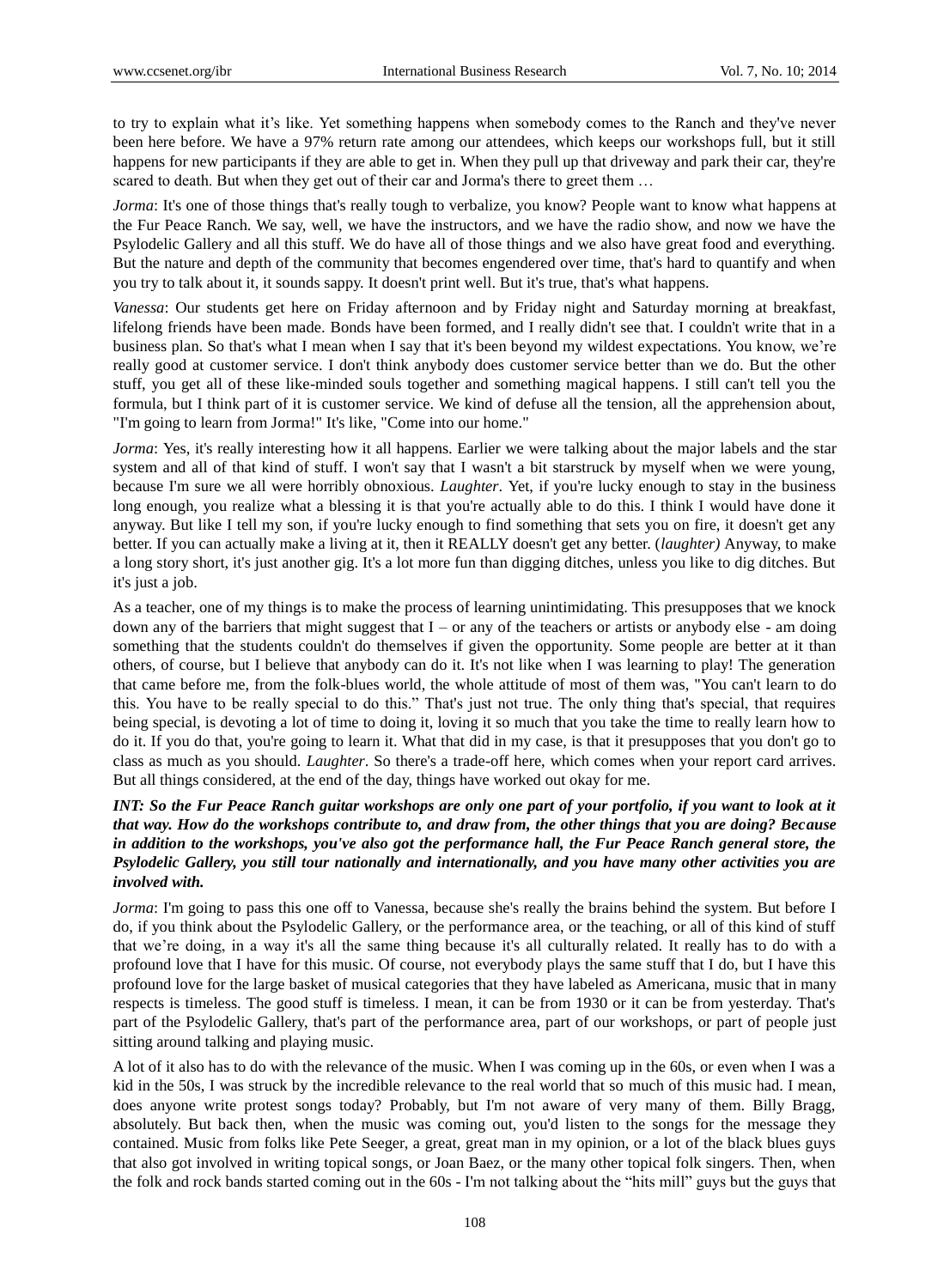to try to explain what it's like. Yet something happens when somebody comes to the Ranch and they've never been here before. We have a 97% return rate among our attendees, which keeps our workshops full, but it still happens for new participants if they are able to get in. When they pull up that driveway and park their car, they're scared to death. But when they get out of their car and Jorma's there to greet them …

*Jorma*: It's one of those things that's really tough to verbalize, you know? People want to know what happens at the Fur Peace Ranch. We say, well, we have the instructors, and we have the radio show, and now we have the Psylodelic Gallery and all this stuff. We do have all of those things and we also have great food and everything. But the nature and depth of the community that becomes engendered over time, that's hard to quantify and when you try to talk about it, it sounds sappy. It doesn't print well. But it's true, that's what happens.

*Vanessa*: Our students get here on Friday afternoon and by Friday night and Saturday morning at breakfast, lifelong friends have been made. Bonds have been formed, and I really didn't see that. I couldn't write that in a business plan. So that's what I mean when I say that it's been beyond my wildest expectations. You know, we"re really good at customer service. I don't think anybody does customer service better than we do. But the other stuff, you get all of these like-minded souls together and something magical happens. I still can't tell you the formula, but I think part of it is customer service. We kind of defuse all the tension, all the apprehension about, "I'm going to learn from Jorma!" It's like, "Come into our home."

*Jorma*: Yes, it's really interesting how it all happens. Earlier we were talking about the major labels and the star system and all of that kind of stuff. I won't say that I wasn't a bit starstruck by myself when we were young, because I'm sure we all were horribly obnoxious. *Laughter*. Yet, if you're lucky enough to stay in the business long enough, you realize what a blessing it is that you're actually able to do this. I think I would have done it anyway. But like I tell my son, if you're lucky enough to find something that sets you on fire, it doesn't get any better. If you can actually make a living at it, then it REALLY doesn't get any better. (*laughter)* Anyway, to make a long story short, it's just another gig. It's a lot more fun than digging ditches, unless you like to dig ditches. But it's just a job.

As a teacher, one of my things is to make the process of learning unintimidating. This presupposes that we knock down any of the barriers that might suggest that  $I - or$  any of the teachers or artists or anybody else - am doing something that the students couldn't do themselves if given the opportunity. Some people are better at it than others, of course, but I believe that anybody can do it. It's not like when I was learning to play! The generation that came before me, from the folk-blues world, the whole attitude of most of them was, "You can't learn to do this. You have to be really special to do this." That's just not true. The only thing that's special, that requires being special, is devoting a lot of time to doing it, loving it so much that you take the time to really learn how to do it. If you do that, you're going to learn it. What that did in my case, is that it presupposes that you don't go to class as much as you should. *Laughter*. So there's a trade-off here, which comes when your report card arrives. But all things considered, at the end of the day, things have worked out okay for me.

# *INT: So the Fur Peace Ranch guitar workshops are only one part of your portfolio, if you want to look at it that way. How do the workshops contribute to, and draw from, the other things that you are doing? Because in addition to the workshops, you've also got the performance hall, the Fur Peace Ranch general store, the Psylodelic Gallery, you still tour nationally and internationally, and you have many other activities you are involved with.*

*Jorma*: I'm going to pass this one off to Vanessa, because she's really the brains behind the system. But before I do, if you think about the Psylodelic Gallery, or the performance area, or the teaching, or all of this kind of stuff that we"re doing, in a way it's all the same thing because it's all culturally related. It really has to do with a profound love that I have for this music. Of course, not everybody plays the same stuff that I do, but I have this profound love for the large basket of musical categories that they have labeled as Americana, music that in many respects is timeless. The good stuff is timeless. I mean, it can be from 1930 or it can be from yesterday. That's part of the Psylodelic Gallery, that's part of the performance area, part of our workshops, or part of people just sitting around talking and playing music.

A lot of it also has to do with the relevance of the music. When I was coming up in the 60s, or even when I was a kid in the 50s, I was struck by the incredible relevance to the real world that so much of this music had. I mean, does anyone write protest songs today? Probably, but I'm not aware of very many of them. Billy Bragg, absolutely. But back then, when the music was coming out, you'd listen to the songs for the message they contained. Music from folks like Pete Seeger, a great, great man in my opinion, or a lot of the black blues guys that also got involved in writing topical songs, or Joan Baez, or the many other topical folk singers. Then, when the folk and rock bands started coming out in the 60s - I'm not talking about the "hits mill" guys but the guys that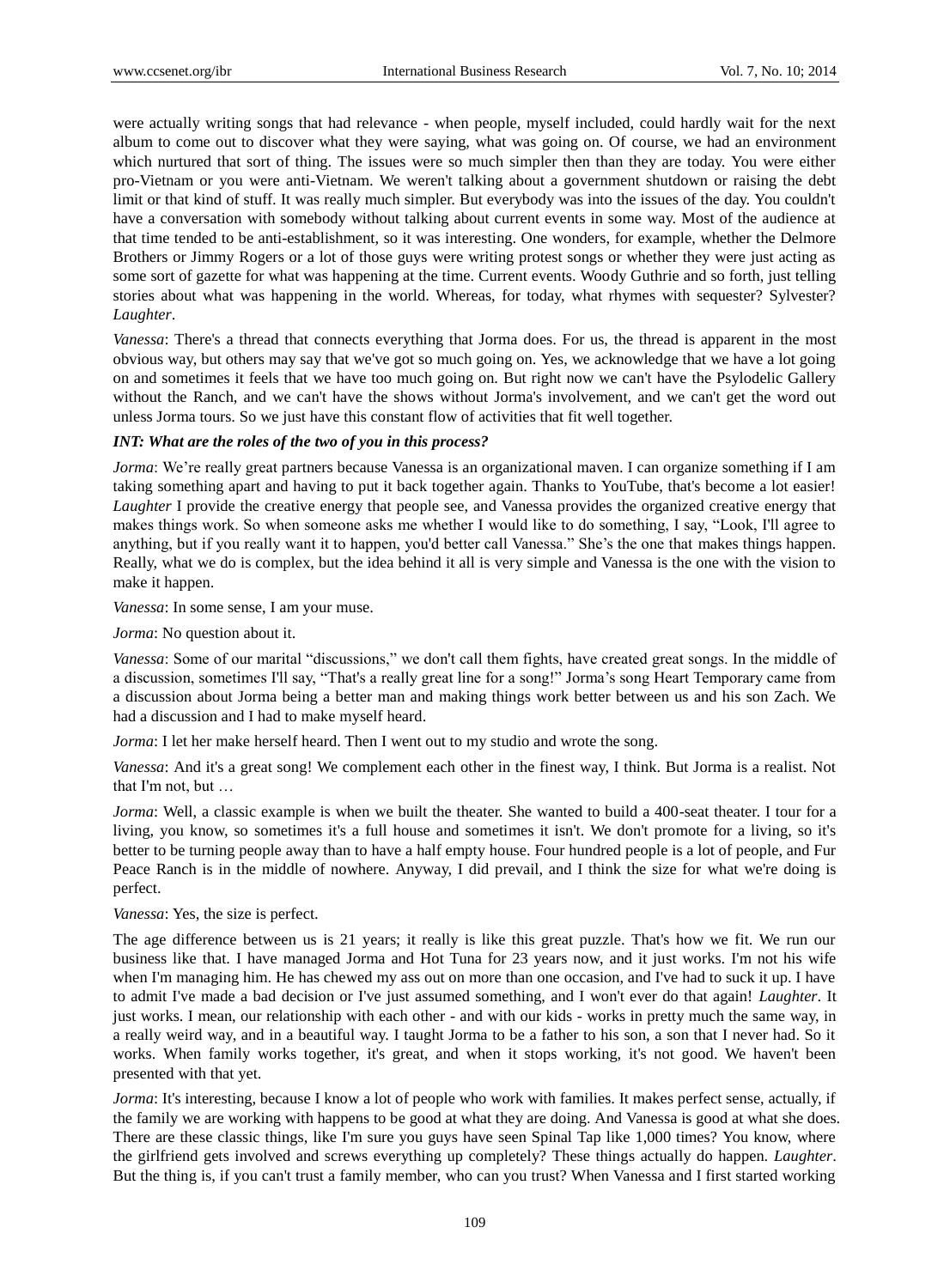were actually writing songs that had relevance - when people, myself included, could hardly wait for the next album to come out to discover what they were saying, what was going on. Of course, we had an environment which nurtured that sort of thing. The issues were so much simpler then than they are today. You were either pro-Vietnam or you were anti-Vietnam. We weren't talking about a government shutdown or raising the debt limit or that kind of stuff. It was really much simpler. But everybody was into the issues of the day. You couldn't have a conversation with somebody without talking about current events in some way. Most of the audience at that time tended to be anti-establishment, so it was interesting. One wonders, for example, whether the Delmore Brothers or Jimmy Rogers or a lot of those guys were writing protest songs or whether they were just acting as some sort of gazette for what was happening at the time. Current events. Woody Guthrie and so forth, just telling stories about what was happening in the world. Whereas, for today, what rhymes with sequester? Sylvester? *Laughter*.

*Vanessa*: There's a thread that connects everything that Jorma does. For us, the thread is apparent in the most obvious way, but others may say that we've got so much going on. Yes, we acknowledge that we have a lot going on and sometimes it feels that we have too much going on. But right now we can't have the Psylodelic Gallery without the Ranch, and we can't have the shows without Jorma's involvement, and we can't get the word out unless Jorma tours. So we just have this constant flow of activities that fit well together.

### *INT: What are the roles of the two of you in this process?*

*Jorma*: We're really great partners because Vanessa is an organizational maven. I can organize something if I am taking something apart and having to put it back together again. Thanks to YouTube, that's become a lot easier! *Laughter* I provide the creative energy that people see, and Vanessa provides the organized creative energy that makes things work. So when someone asks me whether I would like to do something, I say, "Look, I'll agree to anything, but if you really want it to happen, you'd better call Vanessa." She"s the one that makes things happen. Really, what we do is complex, but the idea behind it all is very simple and Vanessa is the one with the vision to make it happen.

*Vanessa*: In some sense, I am your muse.

*Jorma*: No question about it.

*Vanessa*: Some of our marital "discussions," we don't call them fights, have created great songs. In the middle of a discussion, sometimes I'll say, "That's a really great line for a song!" Jorma"s song Heart Temporary came from a discussion about Jorma being a better man and making things work better between us and his son Zach. We had a discussion and I had to make myself heard.

*Jorma*: I let her make herself heard. Then I went out to my studio and wrote the song.

*Vanessa*: And it's a great song! We complement each other in the finest way, I think. But Jorma is a realist. Not that I'm not, but …

*Jorma*: Well, a classic example is when we built the theater. She wanted to build a 400-seat theater. I tour for a living, you know, so sometimes it's a full house and sometimes it isn't. We don't promote for a living, so it's better to be turning people away than to have a half empty house. Four hundred people is a lot of people, and Fur Peace Ranch is in the middle of nowhere. Anyway, I did prevail, and I think the size for what we're doing is perfect.

*Vanessa*: Yes, the size is perfect.

The age difference between us is 21 years; it really is like this great puzzle. That's how we fit. We run our business like that. I have managed Jorma and Hot Tuna for 23 years now, and it just works. I'm not his wife when I'm managing him. He has chewed my ass out on more than one occasion, and I've had to suck it up. I have to admit I've made a bad decision or I've just assumed something, and I won't ever do that again! *Laughter*. It just works. I mean, our relationship with each other - and with our kids - works in pretty much the same way, in a really weird way, and in a beautiful way. I taught Jorma to be a father to his son, a son that I never had. So it works. When family works together, it's great, and when it stops working, it's not good. We haven't been presented with that yet.

*Jorma*: It's interesting, because I know a lot of people who work with families. It makes perfect sense, actually, if the family we are working with happens to be good at what they are doing. And Vanessa is good at what she does. There are these classic things, like I'm sure you guys have seen Spinal Tap like 1,000 times? You know, where the girlfriend gets involved and screws everything up completely? These things actually do happen. *Laughter*. But the thing is, if you can't trust a family member, who can you trust? When Vanessa and I first started working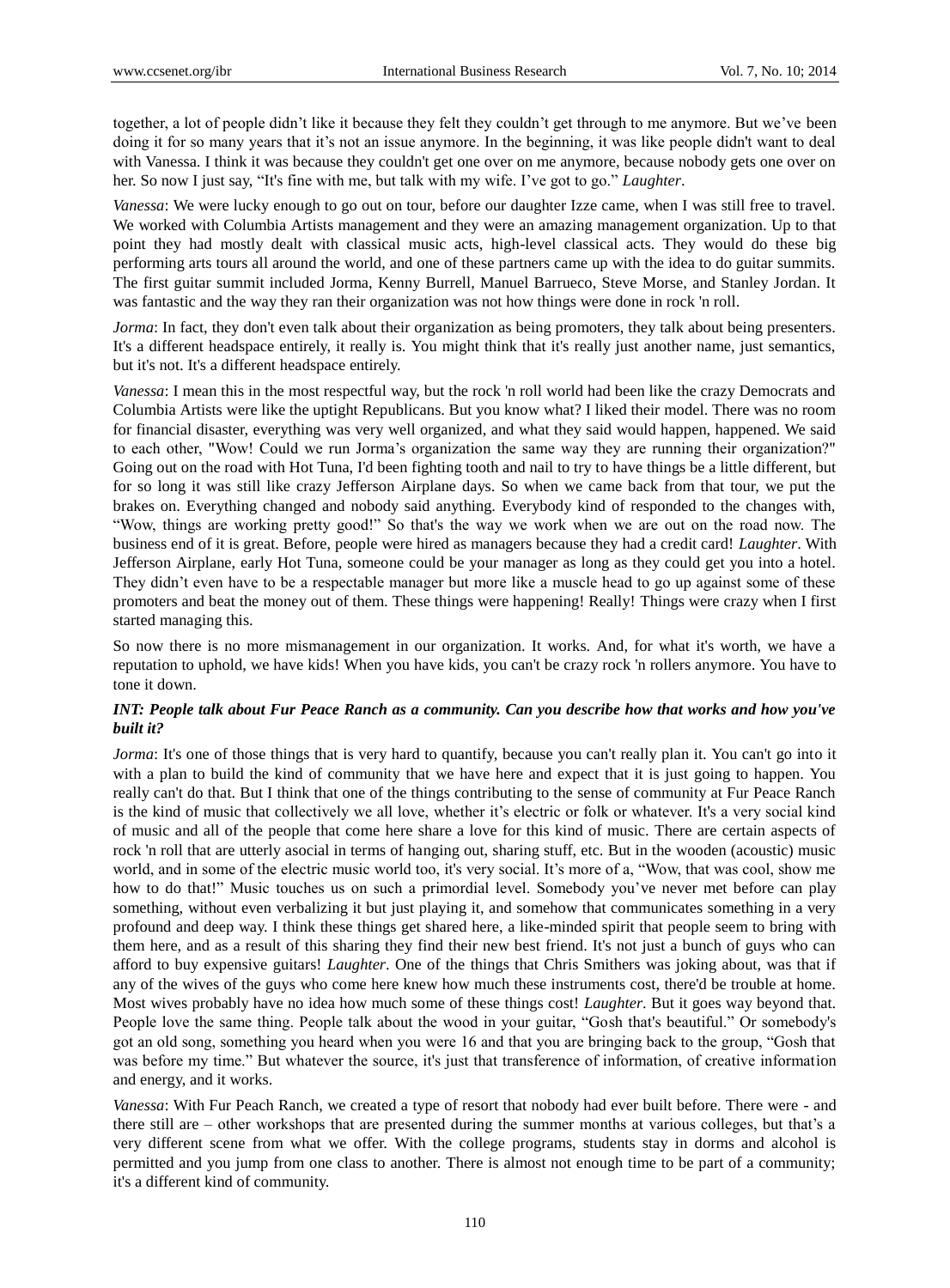together, a lot of people didn't like it because they felt they couldn't get through to me anymore. But we've been doing it for so many years that it's not an issue anymore. In the beginning, it was like people didn't want to deal with Vanessa. I think it was because they couldn't get one over on me anymore, because nobody gets one over on her. So now I just say, "It's fine with me, but talk with my wife. I"ve got to go." *Laughter*.

*Vanessa*: We were lucky enough to go out on tour, before our daughter Izze came, when I was still free to travel. We worked with Columbia Artists management and they were an amazing management organization. Up to that point they had mostly dealt with classical music acts, high-level classical acts. They would do these big performing arts tours all around the world, and one of these partners came up with the idea to do guitar summits. The first guitar summit included Jorma, Kenny Burrell, Manuel Barrueco, Steve Morse, and Stanley Jordan. It was fantastic and the way they ran their organization was not how things were done in rock 'n roll.

*Jorma*: In fact, they don't even talk about their organization as being promoters, they talk about being presenters. It's a different headspace entirely, it really is. You might think that it's really just another name, just semantics, but it's not. It's a different headspace entirely.

*Vanessa*: I mean this in the most respectful way, but the rock 'n roll world had been like the crazy Democrats and Columbia Artists were like the uptight Republicans. But you know what? I liked their model. There was no room for financial disaster, everything was very well organized, and what they said would happen, happened. We said to each other, "Wow! Could we run Jorma"s organization the same way they are running their organization?" Going out on the road with Hot Tuna, I'd been fighting tooth and nail to try to have things be a little different, but for so long it was still like crazy Jefferson Airplane days. So when we came back from that tour, we put the brakes on. Everything changed and nobody said anything. Everybody kind of responded to the changes with, "Wow, things are working pretty good!" So that's the way we work when we are out on the road now. The business end of it is great. Before, people were hired as managers because they had a credit card! *Laughter*. With Jefferson Airplane, early Hot Tuna, someone could be your manager as long as they could get you into a hotel. They didn"t even have to be a respectable manager but more like a muscle head to go up against some of these promoters and beat the money out of them. These things were happening! Really! Things were crazy when I first started managing this.

So now there is no more mismanagement in our organization. It works. And, for what it's worth, we have a reputation to uphold, we have kids! When you have kids, you can't be crazy rock 'n rollers anymore. You have to tone it down.

# *INT: People talk about Fur Peace Ranch as a community. Can you describe how that works and how you've built it?*

*Jorma*: It's one of those things that is very hard to quantify, because you can't really plan it. You can't go into it with a plan to build the kind of community that we have here and expect that it is just going to happen. You really can't do that. But I think that one of the things contributing to the sense of community at Fur Peace Ranch is the kind of music that collectively we all love, whether it's electric or folk or whatever. It's a very social kind of music and all of the people that come here share a love for this kind of music. There are certain aspects of rock 'n roll that are utterly asocial in terms of hanging out, sharing stuff, etc. But in the wooden (acoustic) music world, and in some of the electric music world too, it's very social. It's more of a, "Wow, that was cool, show me how to do that!" Music touches us on such a primordial level. Somebody you"ve never met before can play something, without even verbalizing it but just playing it, and somehow that communicates something in a very profound and deep way. I think these things get shared here, a like-minded spirit that people seem to bring with them here, and as a result of this sharing they find their new best friend. It's not just a bunch of guys who can afford to buy expensive guitars! *Laughter*. One of the things that Chris Smithers was joking about, was that if any of the wives of the guys who come here knew how much these instruments cost, there'd be trouble at home. Most wives probably have no idea how much some of these things cost! *Laughter*. But it goes way beyond that. People love the same thing. People talk about the wood in your guitar, "Gosh that's beautiful." Or somebody's got an old song, something you heard when you were 16 and that you are bringing back to the group, "Gosh that was before my time." But whatever the source, it's just that transference of information, of creative information and energy, and it works.

*Vanessa*: With Fur Peach Ranch, we created a type of resort that nobody had ever built before. There were - and there still are – other workshops that are presented during the summer months at various colleges, but that's a very different scene from what we offer. With the college programs, students stay in dorms and alcohol is permitted and you jump from one class to another. There is almost not enough time to be part of a community; it's a different kind of community.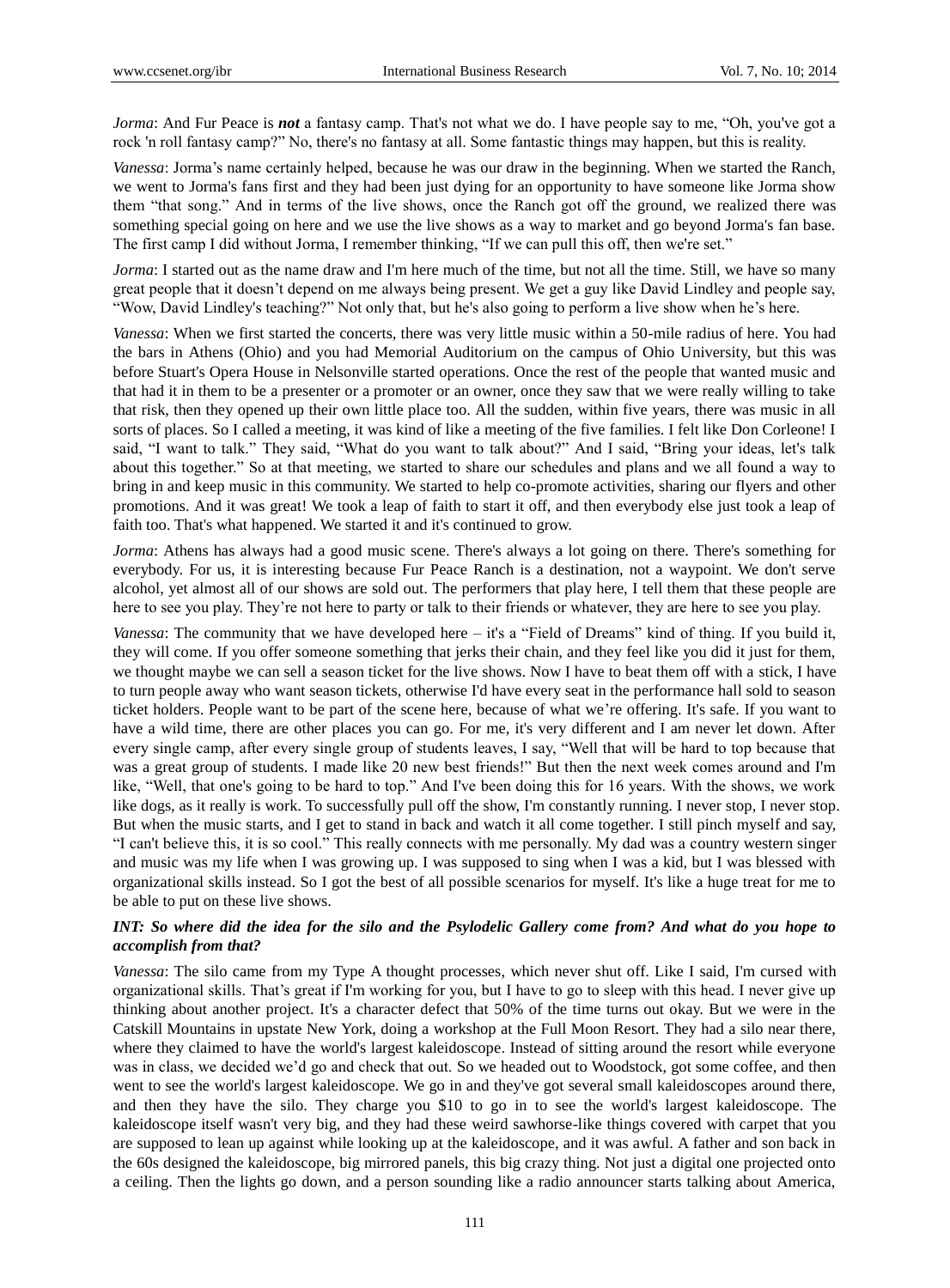*Jorma*: And Fur Peace is **not** a fantasy camp. That's not what we do. I have people say to me, "Oh, you've got a rock 'n roll fantasy camp?" No, there's no fantasy at all. Some fantastic things may happen, but this is reality.

*Vanessa*: Jorma's name certainly helped, because he was our draw in the beginning. When we started the Ranch, we went to Jorma's fans first and they had been just dying for an opportunity to have someone like Jorma show them "that song." And in terms of the live shows, once the Ranch got off the ground, we realized there was something special going on here and we use the live shows as a way to market and go beyond Jorma's fan base. The first camp I did without Jorma, I remember thinking, "If we can pull this off, then we're set."

*Jorma*: I started out as the name draw and I'm here much of the time, but not all the time. Still, we have so many great people that it doesn"t depend on me always being present. We get a guy like David Lindley and people say, "Wow, David Lindley's teaching?" Not only that, but he's also going to perform a live show when he"s here.

*Vanessa*: When we first started the concerts, there was very little music within a 50-mile radius of here. You had the bars in Athens (Ohio) and you had Memorial Auditorium on the campus of Ohio University, but this was before Stuart's Opera House in Nelsonville started operations. Once the rest of the people that wanted music and that had it in them to be a presenter or a promoter or an owner, once they saw that we were really willing to take that risk, then they opened up their own little place too. All the sudden, within five years, there was music in all sorts of places. So I called a meeting, it was kind of like a meeting of the five families. I felt like Don Corleone! I said, "I want to talk." They said, "What do you want to talk about?" And I said, "Bring your ideas, let's talk about this together." So at that meeting, we started to share our schedules and plans and we all found a way to bring in and keep music in this community. We started to help co-promote activities, sharing our flyers and other promotions. And it was great! We took a leap of faith to start it off, and then everybody else just took a leap of faith too. That's what happened. We started it and it's continued to grow.

*Jorma*: Athens has always had a good music scene. There's always a lot going on there. There's something for everybody. For us, it is interesting because Fur Peace Ranch is a destination, not a waypoint. We don't serve alcohol, yet almost all of our shows are sold out. The performers that play here, I tell them that these people are here to see you play. They"re not here to party or talk to their friends or whatever, they are here to see you play.

*Vanessa*: The community that we have developed here – it's a "Field of Dreams" kind of thing. If you build it, they will come. If you offer someone something that jerks their chain, and they feel like you did it just for them, we thought maybe we can sell a season ticket for the live shows. Now I have to beat them off with a stick, I have to turn people away who want season tickets, otherwise I'd have every seat in the performance hall sold to season ticket holders. People want to be part of the scene here, because of what we"re offering. It's safe. If you want to have a wild time, there are other places you can go. For me, it's very different and I am never let down. After every single camp, after every single group of students leaves, I say, "Well that will be hard to top because that was a great group of students. I made like 20 new best friends!" But then the next week comes around and I'm like, "Well, that one's going to be hard to top." And I've been doing this for 16 years. With the shows, we work like dogs, as it really is work. To successfully pull off the show, I'm constantly running. I never stop, I never stop. But when the music starts, and I get to stand in back and watch it all come together. I still pinch myself and say, "I can't believe this, it is so cool." This really connects with me personally. My dad was a country western singer and music was my life when I was growing up. I was supposed to sing when I was a kid, but I was blessed with organizational skills instead. So I got the best of all possible scenarios for myself. It's like a huge treat for me to be able to put on these live shows.

## *INT: So where did the idea for the silo and the Psylodelic Gallery come from? And what do you hope to accomplish from that?*

*Vanessa*: The silo came from my Type A thought processes, which never shut off. Like I said, I'm cursed with organizational skills. That"s great if I'm working for you, but I have to go to sleep with this head. I never give up thinking about another project. It's a character defect that 50% of the time turns out okay. But we were in the Catskill Mountains in upstate New York, doing a workshop at the Full Moon Resort. They had a silo near there, where they claimed to have the world's largest kaleidoscope. Instead of sitting around the resort while everyone was in class, we decided we"d go and check that out. So we headed out to Woodstock, got some coffee, and then went to see the world's largest kaleidoscope. We go in and they've got several small kaleidoscopes around there, and then they have the silo. They charge you \$10 to go in to see the world's largest kaleidoscope. The kaleidoscope itself wasn't very big, and they had these weird sawhorse-like things covered with carpet that you are supposed to lean up against while looking up at the kaleidoscope, and it was awful. A father and son back in the 60s designed the kaleidoscope, big mirrored panels, this big crazy thing. Not just a digital one projected onto a ceiling. Then the lights go down, and a person sounding like a radio announcer starts talking about America,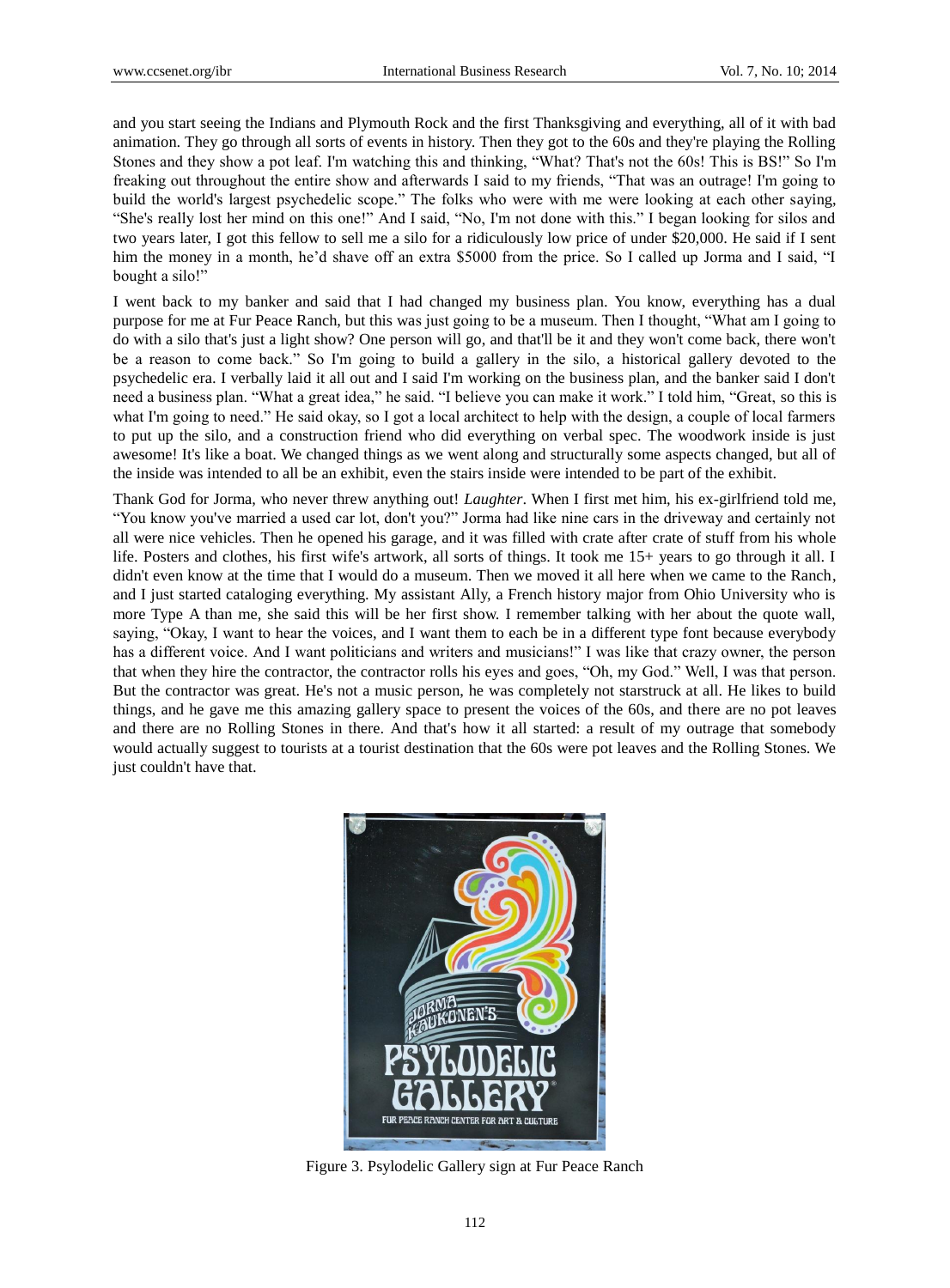and you start seeing the Indians and Plymouth Rock and the first Thanksgiving and everything, all of it with bad animation. They go through all sorts of events in history. Then they got to the 60s and they're playing the Rolling Stones and they show a pot leaf. I'm watching this and thinking, "What? That's not the 60s! This is BS!" So I'm freaking out throughout the entire show and afterwards I said to my friends, "That was an outrage! I'm going to build the world's largest psychedelic scope." The folks who were with me were looking at each other saying, "She's really lost her mind on this one!" And I said, "No, I'm not done with this." I began looking for silos and two years later, I got this fellow to sell me a silo for a ridiculously low price of under \$20,000. He said if I sent him the money in a month, he'd shave off an extra \$5000 from the price. So I called up Jorma and I said, "I bought a silo!"

I went back to my banker and said that I had changed my business plan. You know, everything has a dual purpose for me at Fur Peace Ranch, but this was just going to be a museum. Then I thought, "What am I going to do with a silo that's just a light show? One person will go, and that'll be it and they won't come back, there won't be a reason to come back." So I'm going to build a gallery in the silo, a historical gallery devoted to the psychedelic era. I verbally laid it all out and I said I'm working on the business plan, and the banker said I don't need a business plan. "What a great idea," he said. "I believe you can make it work." I told him, "Great, so this is what I'm going to need." He said okay, so I got a local architect to help with the design, a couple of local farmers to put up the silo, and a construction friend who did everything on verbal spec. The woodwork inside is just awesome! It's like a boat. We changed things as we went along and structurally some aspects changed, but all of the inside was intended to all be an exhibit, even the stairs inside were intended to be part of the exhibit.

Thank God for Jorma, who never threw anything out! *Laughter*. When I first met him, his ex-girlfriend told me, "You know you've married a used car lot, don't you?" Jorma had like nine cars in the driveway and certainly not all were nice vehicles. Then he opened his garage, and it was filled with crate after crate of stuff from his whole life. Posters and clothes, his first wife's artwork, all sorts of things. It took me 15+ years to go through it all. I didn't even know at the time that I would do a museum. Then we moved it all here when we came to the Ranch, and I just started cataloging everything. My assistant Ally, a French history major from Ohio University who is more Type A than me, she said this will be her first show. I remember talking with her about the quote wall, saying, "Okay, I want to hear the voices, and I want them to each be in a different type font because everybody has a different voice. And I want politicians and writers and musicians!" I was like that crazy owner, the person that when they hire the contractor, the contractor rolls his eyes and goes, "Oh, my God." Well, I was that person. But the contractor was great. He's not a music person, he was completely not starstruck at all. He likes to build things, and he gave me this amazing gallery space to present the voices of the 60s, and there are no pot leaves and there are no Rolling Stones in there. And that's how it all started: a result of my outrage that somebody would actually suggest to tourists at a tourist destination that the 60s were pot leaves and the Rolling Stones. We just couldn't have that.



Figure 3. Psylodelic Gallery sign at Fur Peace Ranch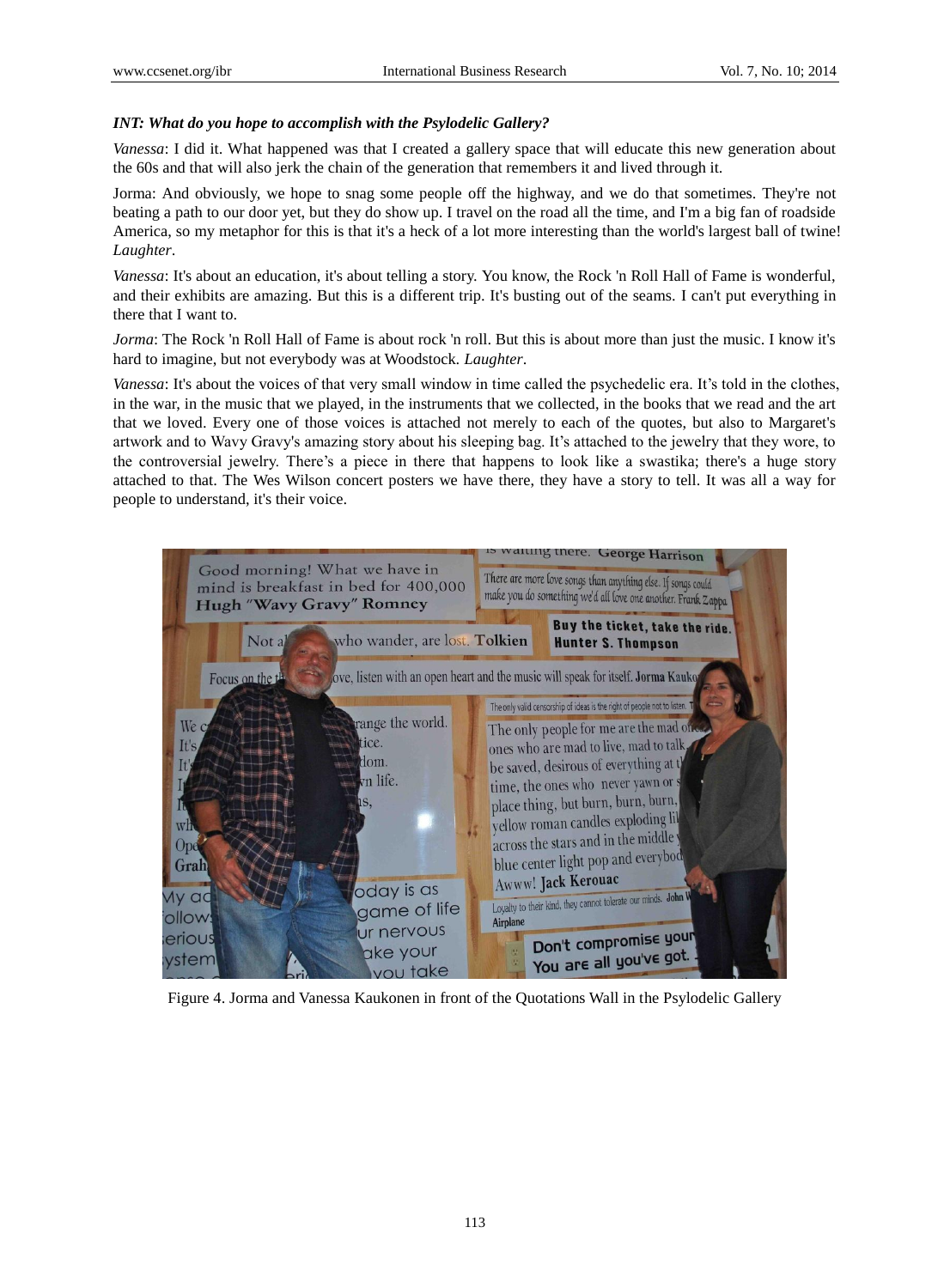# *INT: What do you hope to accomplish with the Psylodelic Gallery?*

*Vanessa*: I did it. What happened was that I created a gallery space that will educate this new generation about the 60s and that will also jerk the chain of the generation that remembers it and lived through it.

Jorma: And obviously, we hope to snag some people off the highway, and we do that sometimes. They're not beating a path to our door yet, but they do show up. I travel on the road all the time, and I'm a big fan of roadside America, so my metaphor for this is that it's a heck of a lot more interesting than the world's largest ball of twine! *Laughter*.

*Vanessa*: It's about an education, it's about telling a story. You know, the Rock 'n Roll Hall of Fame is wonderful, and their exhibits are amazing. But this is a different trip. It's busting out of the seams. I can't put everything in there that I want to.

*Jorma*: The Rock 'n Roll Hall of Fame is about rock 'n roll. But this is about more than just the music. I know it's hard to imagine, but not everybody was at Woodstock. *Laughter*.

*Vanessa*: It's about the voices of that very small window in time called the psychedelic era. It's told in the clothes, in the war, in the music that we played, in the instruments that we collected, in the books that we read and the art that we loved. Every one of those voices is attached not merely to each of the quotes, but also to Margaret's artwork and to Wavy Gravy's amazing story about his sleeping bag. It"s attached to the jewelry that they wore, to the controversial jewelry. There"s a piece in there that happens to look like a swastika; there's a huge story attached to that. The Wes Wilson concert posters we have there, they have a story to tell. It was all a way for people to understand, it's their voice.



Figure 4. Jorma and Vanessa Kaukonen in front of the Quotations Wall in the Psylodelic Gallery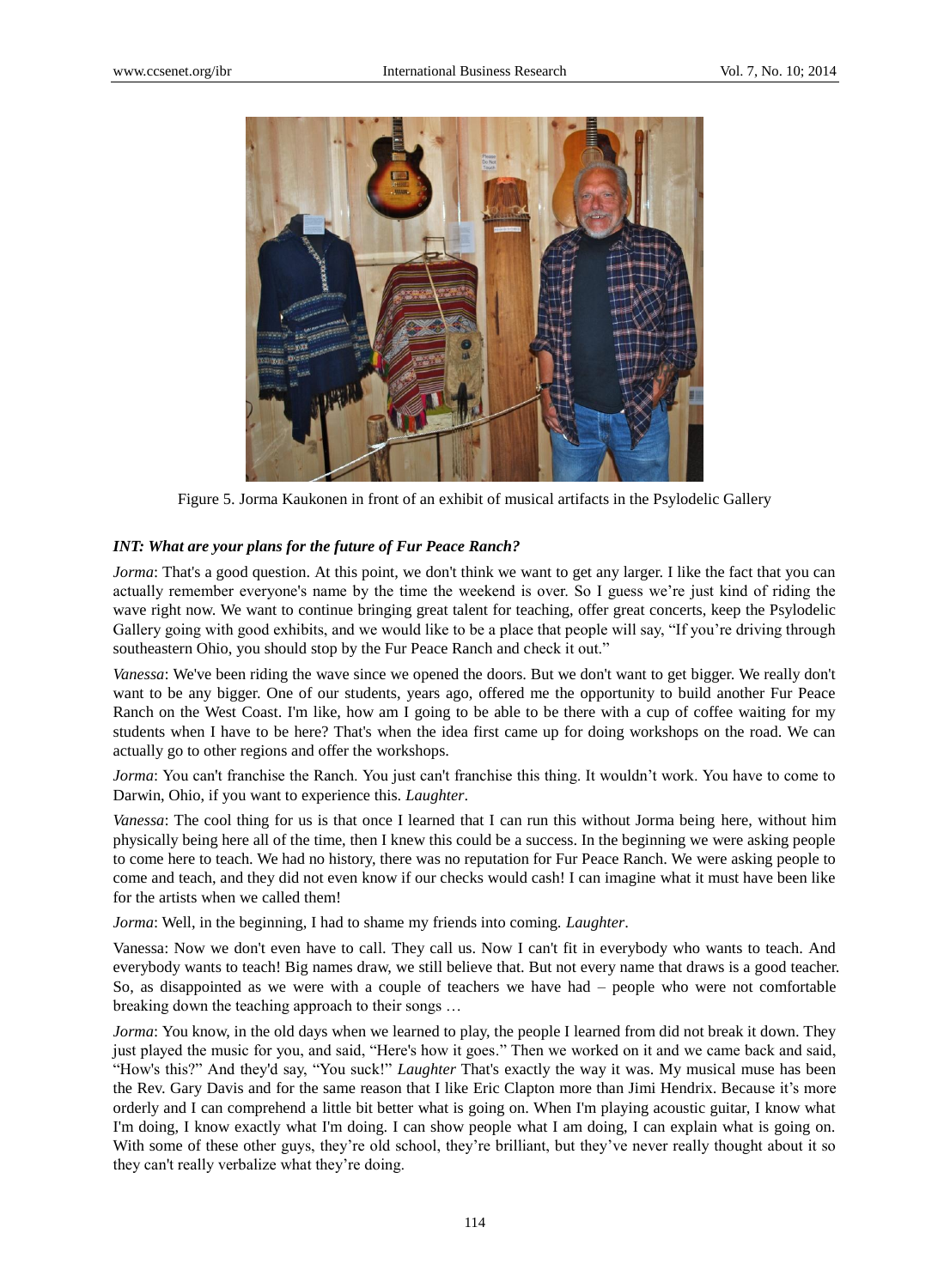

Figure 5. Jorma Kaukonen in front of an exhibit of musical artifacts in the Psylodelic Gallery

#### *INT: What are your plans for the future of Fur Peace Ranch?*

*Jorma*: That's a good question. At this point, we don't think we want to get any larger. I like the fact that you can actually remember everyone's name by the time the weekend is over. So I guess we"re just kind of riding the wave right now. We want to continue bringing great talent for teaching, offer great concerts, keep the Psylodelic Gallery going with good exhibits, and we would like to be a place that people will say, "If you're driving through southeastern Ohio, you should stop by the Fur Peace Ranch and check it out."

*Vanessa*: We've been riding the wave since we opened the doors. But we don't want to get bigger. We really don't want to be any bigger. One of our students, years ago, offered me the opportunity to build another Fur Peace Ranch on the West Coast. I'm like, how am I going to be able to be there with a cup of coffee waiting for my students when I have to be here? That's when the idea first came up for doing workshops on the road. We can actually go to other regions and offer the workshops.

*Jorma*: You can't franchise the Ranch. You just can't franchise this thing. It wouldn't work. You have to come to Darwin, Ohio, if you want to experience this. *Laughter*.

*Vanessa*: The cool thing for us is that once I learned that I can run this without Jorma being here, without him physically being here all of the time, then I knew this could be a success. In the beginning we were asking people to come here to teach. We had no history, there was no reputation for Fur Peace Ranch. We were asking people to come and teach, and they did not even know if our checks would cash! I can imagine what it must have been like for the artists when we called them!

*Jorma*: Well, in the beginning, I had to shame my friends into coming. *Laughter*.

Vanessa: Now we don't even have to call. They call us. Now I can't fit in everybody who wants to teach. And everybody wants to teach! Big names draw, we still believe that. But not every name that draws is a good teacher. So, as disappointed as we were with a couple of teachers we have had – people who were not comfortable breaking down the teaching approach to their songs …

*Jorma*: You know, in the old days when we learned to play, the people I learned from did not break it down. They just played the music for you, and said, "Here's how it goes." Then we worked on it and we came back and said, "How's this?" And they'd say, "You suck!" *Laughter* That's exactly the way it was. My musical muse has been the Rev. Gary Davis and for the same reason that I like Eric Clapton more than Jimi Hendrix. Because it"s more orderly and I can comprehend a little bit better what is going on. When I'm playing acoustic guitar, I know what I'm doing, I know exactly what I'm doing. I can show people what I am doing, I can explain what is going on. With some of these other guys, they're old school, they're brilliant, but they've never really thought about it so they can't really verbalize what they"re doing.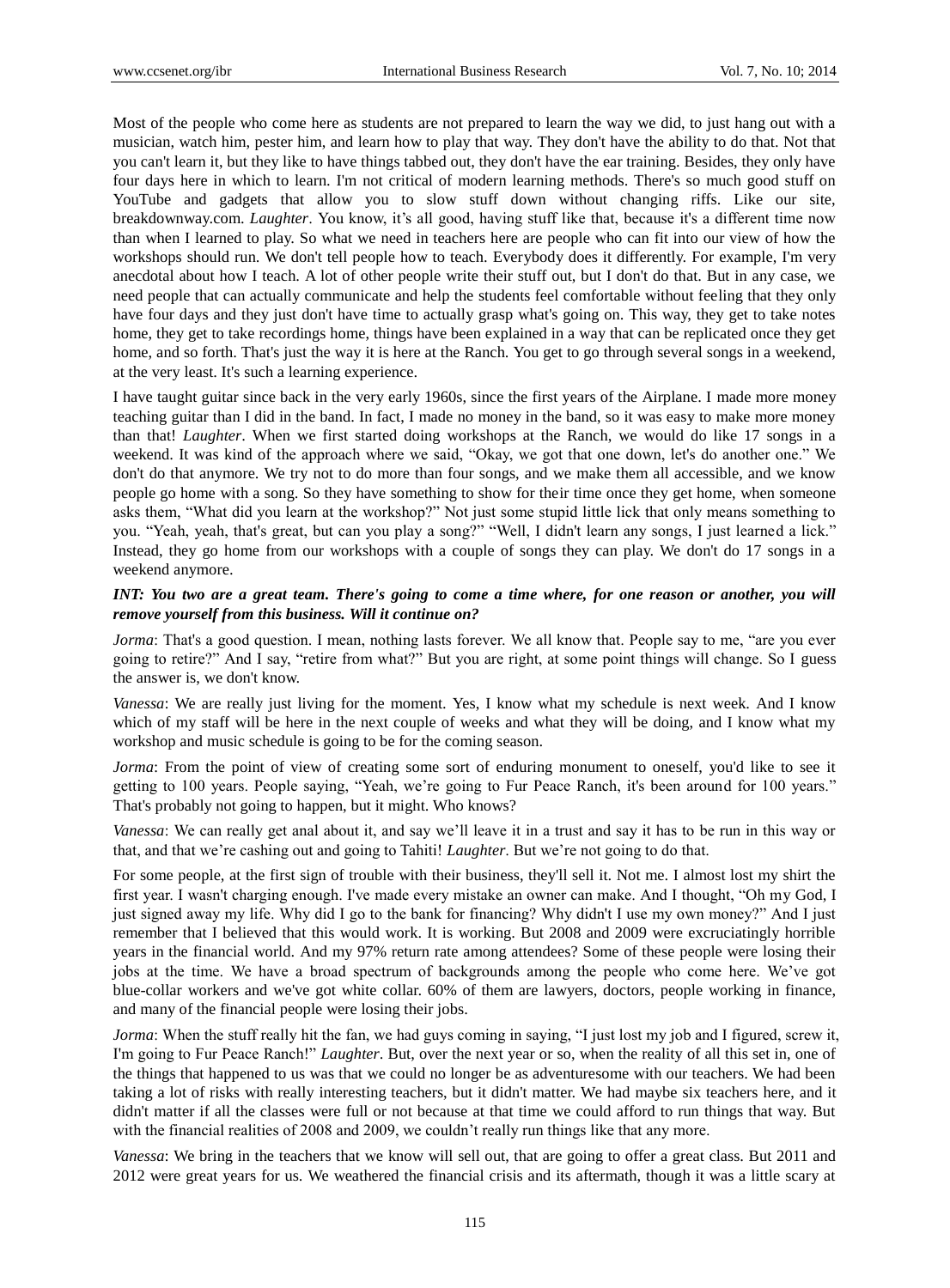Most of the people who come here as students are not prepared to learn the way we did, to just hang out with a musician, watch him, pester him, and learn how to play that way. They don't have the ability to do that. Not that you can't learn it, but they like to have things tabbed out, they don't have the ear training. Besides, they only have four days here in which to learn. I'm not critical of modern learning methods. There's so much good stuff on YouTube and gadgets that allow you to slow stuff down without changing riffs. Like our site, breakdownway.com. *Laughter*. You know, it's all good, having stuff like that, because it's a different time now than when I learned to play. So what we need in teachers here are people who can fit into our view of how the workshops should run. We don't tell people how to teach. Everybody does it differently. For example, I'm very anecdotal about how I teach. A lot of other people write their stuff out, but I don't do that. But in any case, we need people that can actually communicate and help the students feel comfortable without feeling that they only have four days and they just don't have time to actually grasp what's going on. This way, they get to take notes home, they get to take recordings home, things have been explained in a way that can be replicated once they get home, and so forth. That's just the way it is here at the Ranch. You get to go through several songs in a weekend, at the very least. It's such a learning experience.

I have taught guitar since back in the very early 1960s, since the first years of the Airplane. I made more money teaching guitar than I did in the band. In fact, I made no money in the band, so it was easy to make more money than that! *Laughter*. When we first started doing workshops at the Ranch, we would do like 17 songs in a weekend. It was kind of the approach where we said, "Okay, we got that one down, let's do another one." We don't do that anymore. We try not to do more than four songs, and we make them all accessible, and we know people go home with a song. So they have something to show for their time once they get home, when someone asks them, "What did you learn at the workshop?" Not just some stupid little lick that only means something to you. "Yeah, yeah, that's great, but can you play a song?" "Well, I didn't learn any songs, I just learned a lick." Instead, they go home from our workshops with a couple of songs they can play. We don't do 17 songs in a weekend anymore.

# *INT: You two are a great team. There's going to come a time where, for one reason or another, you will remove yourself from this business. Will it continue on?*

*Jorma*: That's a good question. I mean, nothing lasts forever. We all know that. People say to me, "are you ever going to retire?" And I say, "retire from what?" But you are right, at some point things will change. So I guess the answer is, we don't know.

*Vanessa*: We are really just living for the moment. Yes, I know what my schedule is next week. And I know which of my staff will be here in the next couple of weeks and what they will be doing, and I know what my workshop and music schedule is going to be for the coming season.

*Jorma*: From the point of view of creating some sort of enduring monument to oneself, you'd like to see it getting to 100 years. People saying, "Yeah, we"re going to Fur Peace Ranch, it's been around for 100 years." That's probably not going to happen, but it might. Who knows?

*Vanessa*: We can really get anal about it, and say we"ll leave it in a trust and say it has to be run in this way or that, and that we"re cashing out and going to Tahiti! *Laughter*. But we"re not going to do that.

For some people, at the first sign of trouble with their business, they'll sell it. Not me. I almost lost my shirt the first year. I wasn't charging enough. I've made every mistake an owner can make. And I thought, "Oh my God, I just signed away my life. Why did I go to the bank for financing? Why didn't I use my own money?" And I just remember that I believed that this would work. It is working. But 2008 and 2009 were excruciatingly horrible years in the financial world. And my 97% return rate among attendees? Some of these people were losing their jobs at the time. We have a broad spectrum of backgrounds among the people who come here. We"ve got blue-collar workers and we've got white collar. 60% of them are lawyers, doctors, people working in finance, and many of the financial people were losing their jobs.

*Jorma*: When the stuff really hit the fan, we had guys coming in saying, "I just lost my job and I figured, screw it, I'm going to Fur Peace Ranch!" *Laughter*. But, over the next year or so, when the reality of all this set in, one of the things that happened to us was that we could no longer be as adventuresome with our teachers. We had been taking a lot of risks with really interesting teachers, but it didn't matter. We had maybe six teachers here, and it didn't matter if all the classes were full or not because at that time we could afford to run things that way. But with the financial realities of 2008 and 2009, we couldn't really run things like that any more.

*Vanessa*: We bring in the teachers that we know will sell out, that are going to offer a great class. But 2011 and 2012 were great years for us. We weathered the financial crisis and its aftermath, though it was a little scary at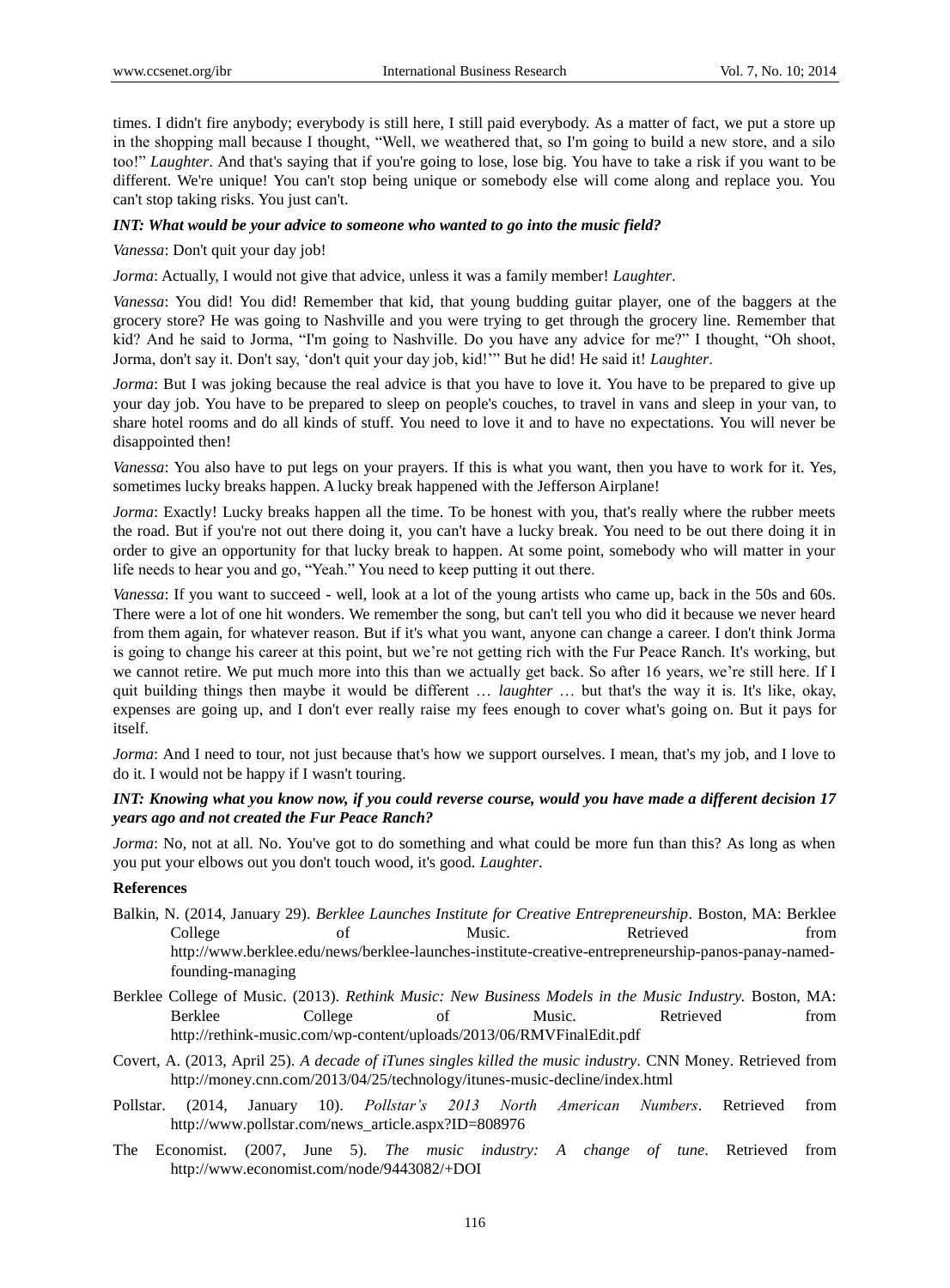times. I didn't fire anybody; everybody is still here, I still paid everybody. As a matter of fact, we put a store up in the shopping mall because I thought, "Well, we weathered that, so I'm going to build a new store, and a silo too!" *Laughter*. And that's saying that if you're going to lose, lose big. You have to take a risk if you want to be different. We're unique! You can't stop being unique or somebody else will come along and replace you. You can't stop taking risks. You just can't.

### *INT: What would be your advice to someone who wanted to go into the music field?*

*Vanessa*: Don't quit your day job!

*Jorma*: Actually, I would not give that advice, unless it was a family member! *Laughter*.

*Vanessa*: You did! You did! Remember that kid, that young budding guitar player, one of the baggers at the grocery store? He was going to Nashville and you were trying to get through the grocery line. Remember that kid? And he said to Jorma, "I'm going to Nashville. Do you have any advice for me?" I thought, "Oh shoot, Jorma, don't say it. Don't say, "don't quit your day job, kid!"" But he did! He said it! *Laughter*.

*Jorma*: But I was joking because the real advice is that you have to love it. You have to be prepared to give up your day job. You have to be prepared to sleep on people's couches, to travel in vans and sleep in your van, to share hotel rooms and do all kinds of stuff. You need to love it and to have no expectations. You will never be disappointed then!

*Vanessa*: You also have to put legs on your prayers. If this is what you want, then you have to work for it. Yes, sometimes lucky breaks happen. A lucky break happened with the Jefferson Airplane!

*Jorma*: Exactly! Lucky breaks happen all the time. To be honest with you, that's really where the rubber meets the road. But if you're not out there doing it, you can't have a lucky break. You need to be out there doing it in order to give an opportunity for that lucky break to happen. At some point, somebody who will matter in your life needs to hear you and go, "Yeah." You need to keep putting it out there.

*Vanessa*: If you want to succeed - well, look at a lot of the young artists who came up, back in the 50s and 60s. There were a lot of one hit wonders. We remember the song, but can't tell you who did it because we never heard from them again, for whatever reason. But if it's what you want, anyone can change a career. I don't think Jorma is going to change his career at this point, but we"re not getting rich with the Fur Peace Ranch. It's working, but we cannot retire. We put much more into this than we actually get back. So after 16 years, we're still here. If I quit building things then maybe it would be different … *laughter* … but that's the way it is. It's like, okay, expenses are going up, and I don't ever really raise my fees enough to cover what's going on. But it pays for itself.

*Jorma*: And I need to tour, not just because that's how we support ourselves. I mean, that's my job, and I love to do it. I would not be happy if I wasn't touring.

# *INT: Knowing what you know now, if you could reverse course, would you have made a different decision 17 years ago and not created the Fur Peace Ranch?*

*Jorma*: No, not at all. No. You've got to do something and what could be more fun than this? As long as when you put your elbows out you don't touch wood, it's good. *Laughter*.

### **References**

- Balkin, N. (2014, January 29). *Berklee Launches Institute for Creative Entrepreneurship*. Boston, MA: Berklee College of Music. Retrieved from http://www.berklee.edu/news/berklee-launches-institute-creative-entrepreneurship-panos-panay-namedfounding-managing
- Berklee College of Music. (2013). *Rethink Music: New Business Models in the Music Industry.* Boston, MA: Berklee College of Music. Retrieved from http://rethink-music.com/wp-content/uploads/2013/06/RMVFinalEdit.pdf
- Covert, A. (2013, April 25). *A decade of iTunes singles killed the music industry.* CNN Money. Retrieved from http://money.cnn.com/2013/04/25/technology/itunes-music-decline/index.html
- Pollstar. (2014, January 10). *Pollstar's 2013 North American Numbers*. Retrieved from http://www.pollstar.com/news\_article.aspx?ID=808976
- The Economist. (2007, June 5). *The music industry: A change of tune*. Retrieved from http://www.economist.com/node/9443082/+DOI